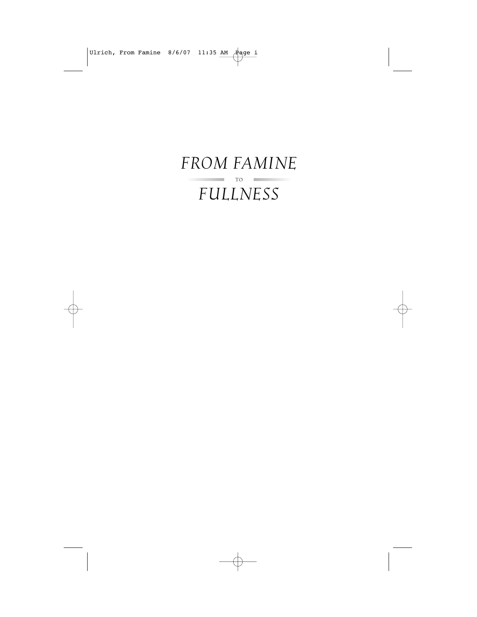Ulrich, From Famine  $8/6/07$  11:35 AM  $\frac{1}{2}$  age i

# *FROM FAMINE* TO *FULLNESS*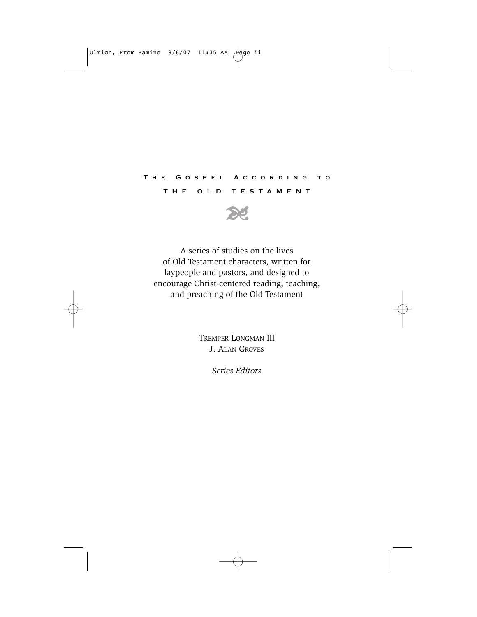Ulrich, From Famine 8/6/07 11:35 AM Aage ii

# **The Gospel According to THE OLD TESTAMENT**



A series of studies on the lives of Old Testament characters, written for laypeople and pastors, and designed to encourage Christ-centered reading, teaching, and preaching of the Old Testament

> TREMPER LONGMAN III J. ALAN GROVES

> > *Series Editors*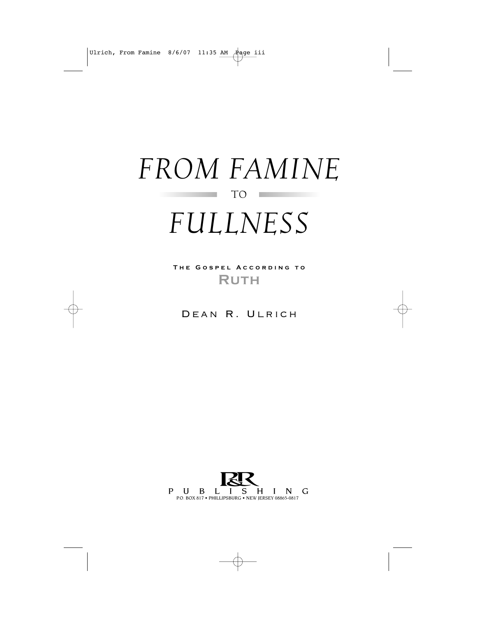Ulrich, From Famine 8/6/07 11:35 AM Page iii

# *FROM FAMINE* TO **Contract Contract** *FULLNESS*

**The Gospel According to Ruth**

Dean R. Ulrich

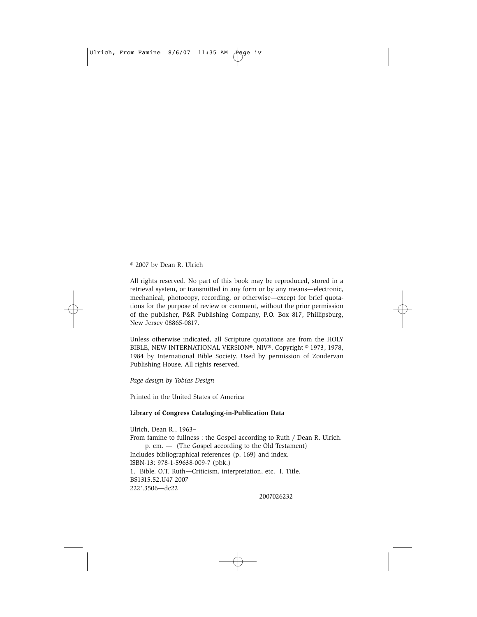Ulrich, From Famine  $8/6/07$  11:35 AM  $\frac{1}{6}$ age iv

© 2007 by Dean R. Ulrich

All rights reserved. No part of this book may be reproduced, stored in a retrieval system, or transmitted in any form or by any means—electronic, mechanical, photocopy, recording, or otherwise—except for brief quotations for the purpose of review or comment, without the prior permission of the publisher, P&R Publishing Company, P.O. Box 817, Phillipsburg, New Jersey 08865-0817.

Unless otherwise indicated, all Scripture quotations are from the HOLY BIBLE, NEW INTERNATIONAL VERSION®. NIV®. Copyright © 1973, 1978, 1984 by International Bible Society. Used by permission of Zondervan Publishing House. All rights reserved.

*Page design by Tobias Design*

Printed in the United States of America

#### **Library of Congress Cataloging-in-Publication Data**

Ulrich, Dean R., 1963– From famine to fullness : the Gospel according to Ruth / Dean R. Ulrich. p. cm. — (The Gospel according to the Old Testament) Includes bibliographical references (p. 169) and index. ISBN-13: 978-1-59638-009-7 (pbk.) 1. Bible. O.T. Ruth—Criticism, interpretation, etc. I. Title. BS1315.52.U47 2007 222'.3506—dc22

2007026232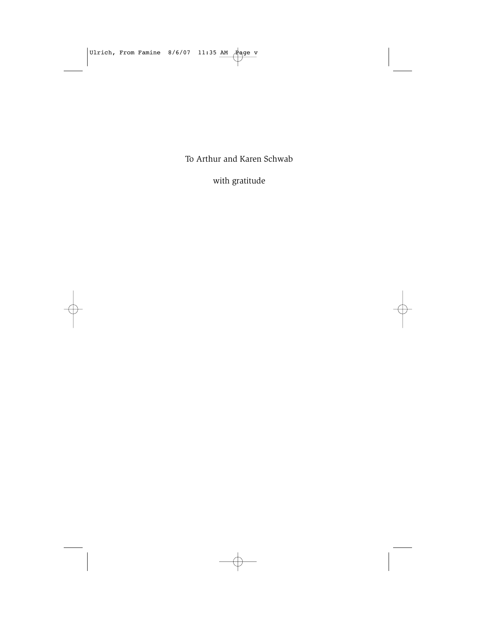Ulrich, From Famine  $8/6/07$  11:35 AM Page v

To Arthur and Karen Schwab

with gratitude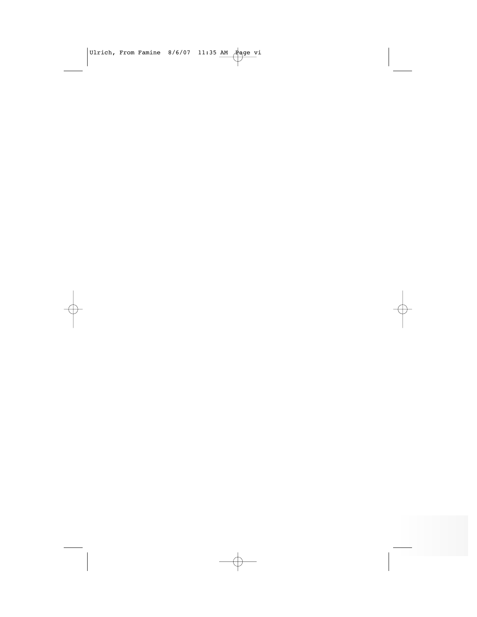Ulrich, From Famine 8/6/07 11:35 AM Page vi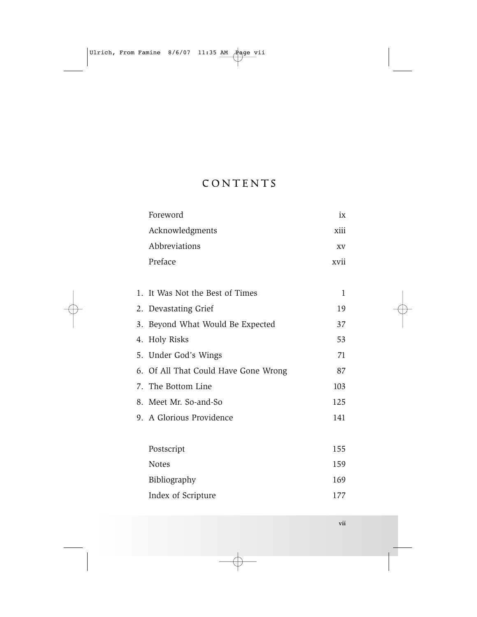Ulrich, From Famine  $8/6/07$  11:35 AM  $\frac{1}{\sqrt{2}}$  vii

# **CONTENTS**

| Foreword        | 1X.  |
|-----------------|------|
| Acknowledgments | xiii |
| Abbreviations   | XV   |
| Preface         | xvii |

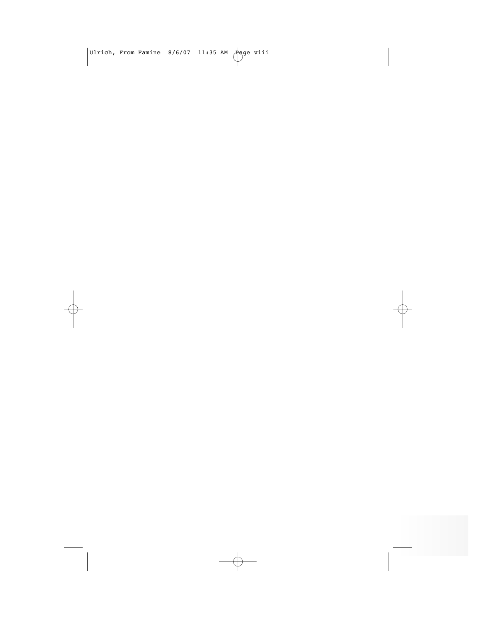Ulrich, From Famine 8/6/07 11:35 AM Page viii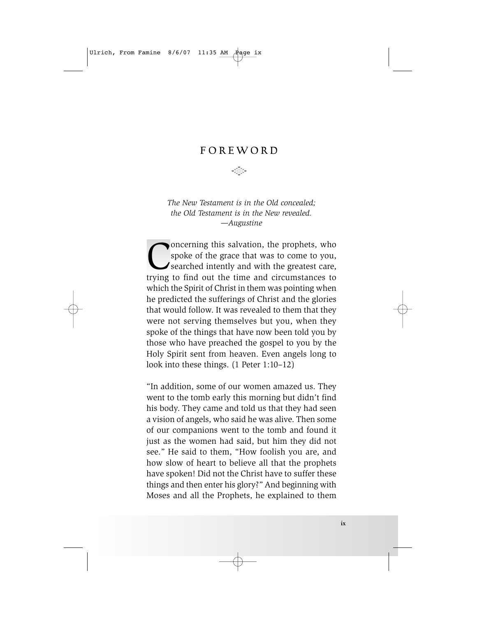# **FOREWORD**

# $\begin{aligned} \Phi_{\mathcal{F}_{\mathcal{S}_{\mathcal{A},\mathcal{B}}}}^{\mathcal{A},\mathcal{B},\mathcal{B}}(q)\\ \Phi_{\mathcal{F}_{\mathcal{S}_{\mathcal{B},\mathcal{B}}}}^{\mathcal{A},\mathcal{B},\mathcal{B}}(q) \end{aligned}$

*The New Testament is in the Old concealed; the Old Testament is in the New revealed. —Augustine*

Oncerning this salvation, the prophets, who<br>spoke of the grace that was to come to you,<br>searched intently and with the greatest care,<br>trying to find out the time and circumstances to spoke of the grace that was to come to you, searched intently and with the greatest care, trying to find out the time and circumstances to which the Spirit of Christ in them was pointing when he predicted the sufferings of Christ and the glories that would follow. It was revealed to them that they were not serving themselves but you, when they spoke of the things that have now been told you by those who have preached the gospel to you by the Holy Spirit sent from heaven. Even angels long to look into these things. (1 Peter 1:10–12)

"In addition, some of our women amazed us. They went to the tomb early this morning but didn't find his body. They came and told us that they had seen a vision of angels, who said he was alive. Then some of our companions went to the tomb and found it just as the women had said, but him they did not see." He said to them, "How foolish you are, and how slow of heart to believe all that the prophets have spoken! Did not the Christ have to suffer these things and then enter his glory?" And beginning with Moses and all the Prophets, he explained to them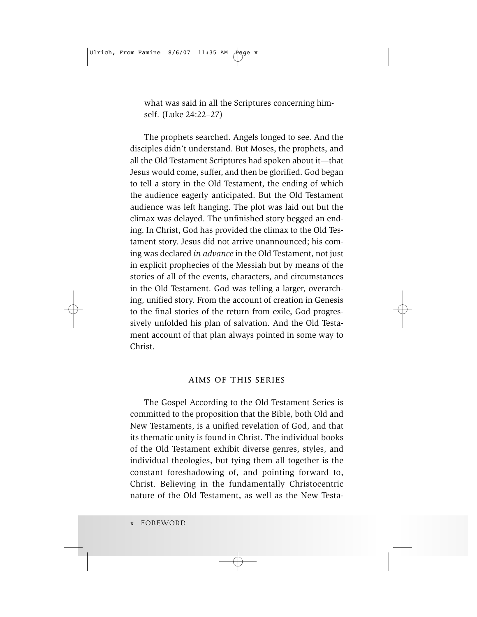what was said in all the Scriptures concerning himself. (Luke 24:22–27)

The prophets searched. Angels longed to see. And the disciples didn't understand. But Moses, the prophets, and all the Old Testament Scriptures had spoken about it—that Jesus would come, suffer, and then be glorified. God began to tell a story in the Old Testament, the ending of which the audience eagerly anticipated. But the Old Testament audience was left hanging. The plot was laid out but the climax was delayed. The unfinished story begged an ending. In Christ, God has provided the climax to the Old Testament story. Jesus did not arrive unannounced; his coming was declared *in advance* in the Old Testament, not just in explicit prophecies of the Messiah but by means of the stories of all of the events, characters, and circumstances in the Old Testament. God was telling a larger, overarching, unified story. From the account of creation in Genesis to the final stories of the return from exile, God progressively unfolded his plan of salvation. And the Old Testament account of that plan always pointed in some way to Christ.

## **AIMS OF THIS SERIES**

The Gospel According to the Old Testament Series is committed to the proposition that the Bible, both Old and New Testaments, is a unified revelation of God, and that its thematic unity is found in Christ. The individual books of the Old Testament exhibit diverse genres, styles, and individual theologies, but tying them all together is the constant foreshadowing of, and pointing forward to, Christ. Believing in the fundamentally Christocentric nature of the Old Testament, as well as the New Testa-

**x** FOREWORD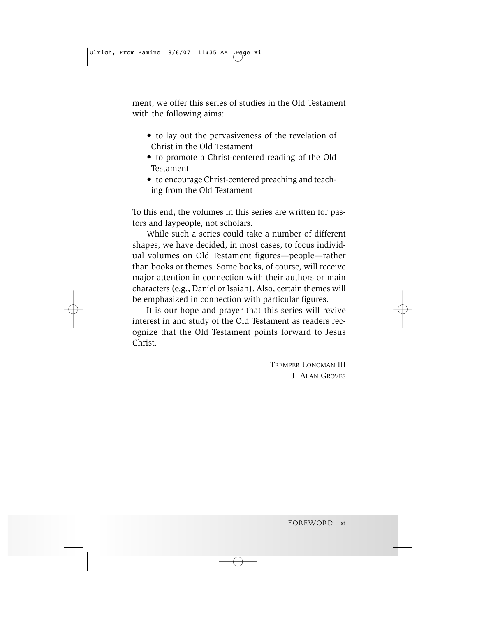ment, we offer this series of studies in the Old Testament with the following aims:

- to lay out the pervasiveness of the revelation of Christ in the Old Testament
- to promote a Christ-centered reading of the Old Testament
- to encourage Christ-centered preaching and teaching from the Old Testament

To this end, the volumes in this series are written for pastors and laypeople, not scholars.

While such a series could take a number of different shapes, we have decided, in most cases, to focus individual volumes on Old Testament figures—people—rather than books or themes. Some books, of course, will receive major attention in connection with their authors or main characters (e.g., Daniel or Isaiah). Also, certain themes will be emphasized in connection with particular figures.

It is our hope and prayer that this series will revive interest in and study of the Old Testament as readers recognize that the Old Testament points forward to Jesus Christ.

> TREMPER LONGMAN III J. ALAN GROVES

> > FOREWORD **xi**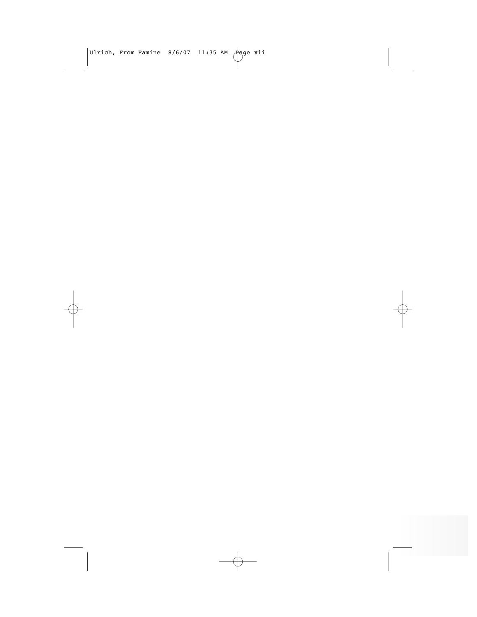Ulrich, From Famine 8/6/07 11:35 AM Page xii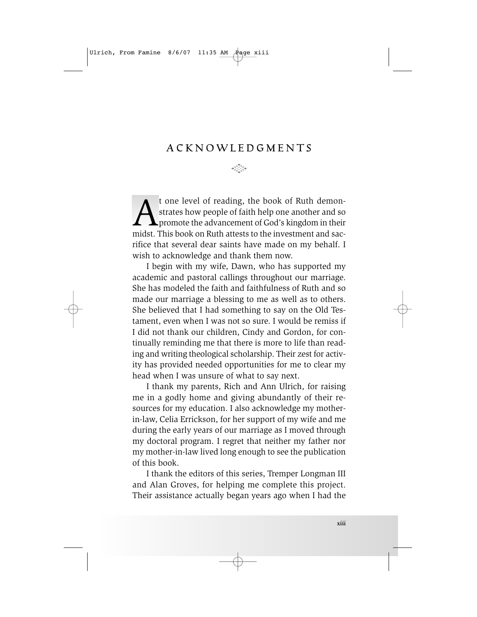# **ACKNOWLEDGMENTS**

# $\begin{aligned} \Phi_{\mathcal{F}_{\mathcal{S}_{\mathcal{A},\mathcal{B}}}}^{\mathcal{A},\mathcal{B},\mathcal{B}}(q)\\ \Phi_{\mathcal{F}_{\mathcal{S}_{\mathcal{B},\mathcal{B}}}}^{\mathcal{A},\mathcal{B},\mathcal{B}}(q) \end{aligned}$

t one level of reading, the book of Ruth demonstrates how people of faith help one another and so promote the advancement of God's kingdom in their midst. This book on Buth attacts to the investment and sag strates how people of faith help one another and so promote the advancement of God's kingdom in their midst. This book on Ruth attests to the investment and sacrifice that several dear saints have made on my behalf. I wish to acknowledge and thank them now.

I begin with my wife, Dawn, who has supported my academic and pastoral callings throughout our marriage. She has modeled the faith and faithfulness of Ruth and so made our marriage a blessing to me as well as to others. She believed that I had something to say on the Old Testament, even when I was not so sure. I would be remiss if I did not thank our children, Cindy and Gordon, for continually reminding me that there is more to life than reading and writing theological scholarship. Their zest for activity has provided needed opportunities for me to clear my head when I was unsure of what to say next.

I thank my parents, Rich and Ann Ulrich, for raising me in a godly home and giving abundantly of their resources for my education. I also acknowledge my motherin-law, Celia Errickson, for her support of my wife and me during the early years of our marriage as I moved through my doctoral program. I regret that neither my father nor my mother-in-law lived long enough to see the publication of this book.

I thank the editors of this series, Tremper Longman III and Alan Groves, for helping me complete this project. Their assistance actually began years ago when I had the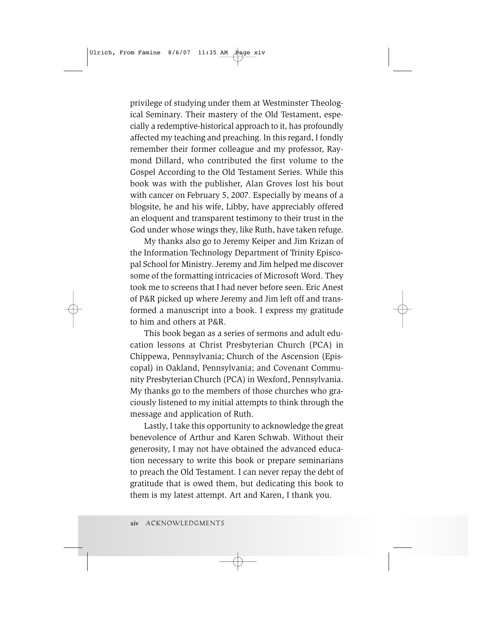privilege of studying under them at Westminster Theological Seminary. Their mastery of the Old Testament, especially a redemptive-historical approach to it, has profoundly affected my teaching and preaching. In this regard, I fondly remember their former colleague and my professor, Raymond Dillard, who contributed the first volume to the Gospel According to the Old Testament Series. While this book was with the publisher, Alan Groves lost his bout with cancer on February 5, 2007. Especially by means of a blogsite, he and his wife, Libby, have appreciably offered an eloquent and transparent testimony to their trust in the God under whose wings they, like Ruth, have taken refuge.

My thanks also go to Jeremy Keiper and Jim Krizan of the Information Technology Department of Trinity Episcopal School for Ministry. Jeremy and Jim helped me discover some of the formatting intricacies of Microsoft Word. They took me to screens that I had never before seen. Eric Anest of P&R picked up where Jeremy and Jim left off and transformed a manuscript into a book. I express my gratitude to him and others at P&R.

This book began as a series of sermons and adult education lessons at Christ Presbyterian Church (PCA) in Chippewa, Pennsylvania; Church of the Ascension (Episcopal) in Oakland, Pennsylvania; and Covenant Community Presbyterian Church (PCA) in Wexford, Pennsylvania. My thanks go to the members of those churches who graciously listened to my initial attempts to think through the message and application of Ruth.

Lastly, I take this opportunity to acknowledge the great benevolence of Arthur and Karen Schwab. Without their generosity, I may not have obtained the advanced education necessary to write this book or prepare seminarians to preach the Old Testament. I can never repay the debt of gratitude that is owed them, but dedicating this book to them is my latest attempt. Art and Karen, I thank you.

#### **xiv** ACKNOWLEDGMENTS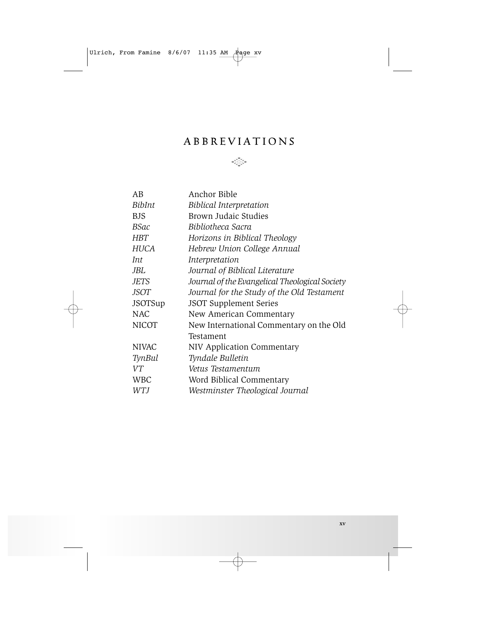Ulrich, From Famine  $8/6/07$  11:35 AM  $\overrightarrow{Page}$  xv

# **ABBREVIATIONS**

# $\label{eq:4} \phi_{\hat{r}_{\hat{t}}\hat{y}_{\hat{y}}\hat{y}_{\hat{y}}^{\hat{y}_{\hat{y}}\hat{y}_{\hat{y}}^{\hat{y}_{\hat{y}}}}$

| AВ           | Anchor Bible                                   |
|--------------|------------------------------------------------|
| BibInt       | Biblical Interpretation                        |
| BJS.         | <b>Brown Judaic Studies</b>                    |
| BSac         | Bibliotheca Sacra                              |
| HBT          | Horizons in Biblical Theology                  |
| HUCA         | Hebrew Union College Annual                    |
| Int          | Interpretation                                 |
| JBL          | Journal of Biblical Literature                 |
| <b>JETS</b>  | Journal of the Evangelical Theological Society |
| <i>JSOT</i>  | Journal for the Study of the Old Testament     |
| JSOTSup      | <b>JSOT Supplement Series</b>                  |
| <b>NAC</b>   | New American Commentary                        |
| NICOT        | New International Commentary on the Old        |
|              | Testament                                      |
| <b>NIVAC</b> | NIV Application Commentary                     |
| TynBul       | Tyndale Bulletin                               |
| VT           | Vetus Testamentum                              |
| WBC          | Word Biblical Commentary                       |
| WTJ          | Westminster Theological Journal                |
|              |                                                |

**xv**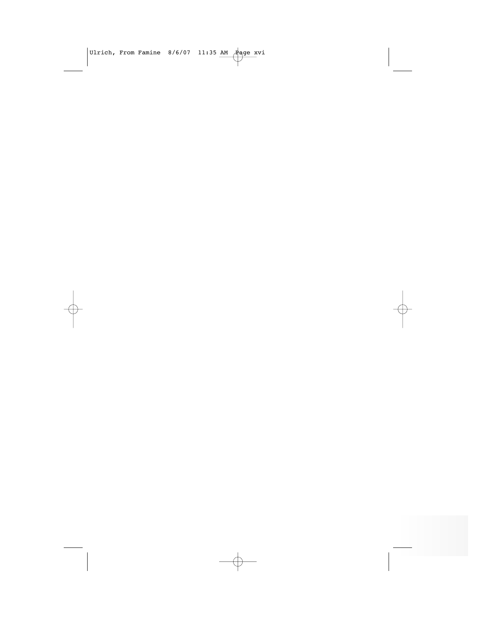Ulrich, From Famine 8/6/07 11:35 AM Page xvi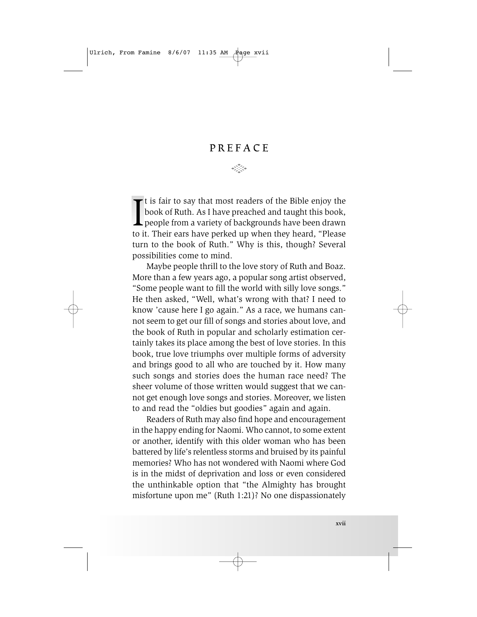# **PREFACE**

# $\begin{aligned} \Phi_{\mathcal{F}_{\mathcal{S}_{\mathcal{A},\mathcal{B}}}}^{\mathcal{A},\mathcal{B},\mathcal{B}}(q)\\ \Phi_{\mathcal{F}_{\mathcal{S}_{\mathcal{B},\mathcal{B}}}}^{\mathcal{A},\mathcal{B},\mathcal{B}}(q) \end{aligned}$

It is fair to say that most readers of the Bible enjoy the book of Ruth. As I have preached and taught this book, people from a variety of backgrounds have been drawn to it. Their ears have perked up when they heard, "Plea t is fair to say that most readers of the Bible enjoy the book of Ruth. As I have preached and taught this book, people from a variety of backgrounds have been drawn turn to the book of Ruth." Why is this, though? Several possibilities come to mind.

Maybe people thrill to the love story of Ruth and Boaz. More than a few years ago, a popular song artist observed, "Some people want to fill the world with silly love songs." He then asked, "Well, what's wrong with that? I need to know 'cause here I go again." As a race, we humans cannot seem to get our fill of songs and stories about love, and the book of Ruth in popular and scholarly estimation certainly takes its place among the best of love stories. In this book, true love triumphs over multiple forms of adversity and brings good to all who are touched by it. How many such songs and stories does the human race need? The sheer volume of those written would suggest that we cannot get enough love songs and stories. Moreover, we listen to and read the "oldies but goodies" again and again.

Readers of Ruth may also find hope and encouragement in the happy ending for Naomi. Who cannot, to some extent or another, identify with this older woman who has been battered by life's relentless storms and bruised by its painful memories? Who has not wondered with Naomi where God is in the midst of deprivation and loss or even considered the unthinkable option that "the Almighty has brought misfortune upon me" (Ruth 1:21)? No one dispassionately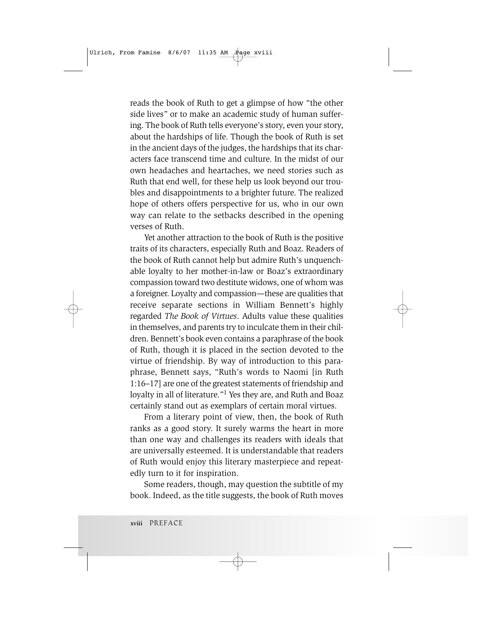reads the book of Ruth to get a glimpse of how "the other side lives" or to make an academic study of human suffering. The book of Ruth tells everyone's story, even your story, about the hardships of life. Though the book of Ruth is set in the ancient days of the judges, the hardships that its characters face transcend time and culture. In the midst of our own headaches and heartaches, we need stories such as Ruth that end well, for these help us look beyond our troubles and disappointments to a brighter future. The realized hope of others offers perspective for us, who in our own way can relate to the setbacks described in the opening verses of Ruth.

Yet another attraction to the book of Ruth is the positive traits of its characters, especially Ruth and Boaz. Readers of the book of Ruth cannot help but admire Ruth's unquenchable loyalty to her mother-in-law or Boaz's extraordinary compassion toward two destitute widows, one of whom was a foreigner. Loyalty and compassion—these are qualities that receive separate sections in William Bennett's highly regarded *The Book of Virtues*. Adults value these qualities in themselves, and parents try to inculcate them in their children. Bennett's book even contains a paraphrase of the book of Ruth, though it is placed in the section devoted to the virtue of friendship. By way of introduction to this paraphrase, Bennett says, "Ruth's words to Naomi [in Ruth 1:16–17] are one of the greatest statements of friendship and loyalty in all of literature."<sup>1</sup> Yes they are, and Ruth and Boaz certainly stand out as exemplars of certain moral virtues.

From a literary point of view, then, the book of Ruth ranks as a good story. It surely warms the heart in more than one way and challenges its readers with ideals that are universally esteemed. It is understandable that readers of Ruth would enjoy this literary masterpiece and repeatedly turn to it for inspiration.

Some readers, though, may question the subtitle of my book. Indeed, as the title suggests, the book of Ruth moves

**xviii** PREFACE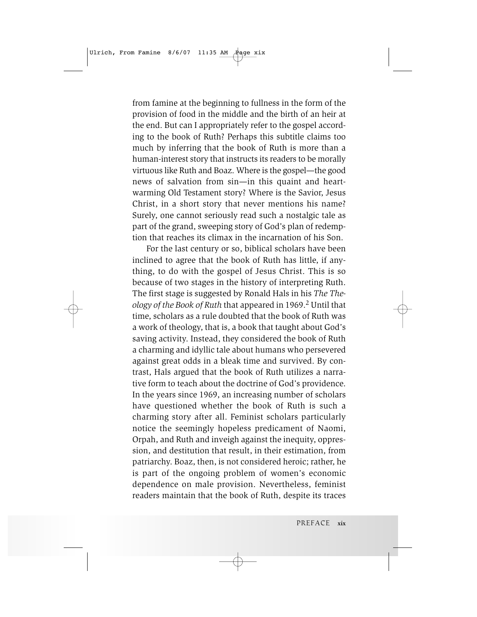from famine at the beginning to fullness in the form of the provision of food in the middle and the birth of an heir at the end. But can I appropriately refer to the gospel according to the book of Ruth? Perhaps this subtitle claims too much by inferring that the book of Ruth is more than a human-interest story that instructs its readers to be morally virtuous like Ruth and Boaz. Where is the gospel—the good news of salvation from sin—in this quaint and heartwarming Old Testament story? Where is the Savior, Jesus Christ, in a short story that never mentions his name? Surely, one cannot seriously read such a nostalgic tale as part of the grand, sweeping story of God's plan of redemption that reaches its climax in the incarnation of his Son.

For the last century or so, biblical scholars have been inclined to agree that the book of Ruth has little, if anything, to do with the gospel of Jesus Christ. This is so because of two stages in the history of interpreting Ruth. The first stage is suggested by Ronald Hals in his *The Theology of the Book of Ruth* that appeared in 1969.<sup>2</sup> Until that time, scholars as a rule doubted that the book of Ruth was a work of theology, that is, a book that taught about God's saving activity. Instead, they considered the book of Ruth a charming and idyllic tale about humans who persevered against great odds in a bleak time and survived. By contrast, Hals argued that the book of Ruth utilizes a narrative form to teach about the doctrine of God's providence. In the years since 1969, an increasing number of scholars have questioned whether the book of Ruth is such a charming story after all. Feminist scholars particularly notice the seemingly hopeless predicament of Naomi, Orpah, and Ruth and inveigh against the inequity, oppression, and destitution that result, in their estimation, from patriarchy. Boaz, then, is not considered heroic; rather, he is part of the ongoing problem of women's economic dependence on male provision. Nevertheless, feminist readers maintain that the book of Ruth, despite its traces

PREFACE **xix**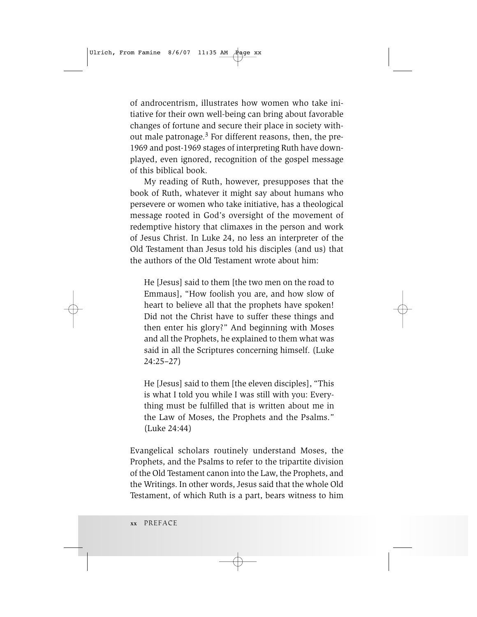of androcentrism, illustrates how women who take initiative for their own well-being can bring about favorable changes of fortune and secure their place in society without male patronage.<sup>3</sup> For different reasons, then, the pre-1969 and post-1969 stages of interpreting Ruth have downplayed, even ignored, recognition of the gospel message of this biblical book.

My reading of Ruth, however, presupposes that the book of Ruth, whatever it might say about humans who persevere or women who take initiative, has a theological message rooted in God's oversight of the movement of redemptive history that climaxes in the person and work of Jesus Christ. In Luke 24, no less an interpreter of the Old Testament than Jesus told his disciples (and us) that the authors of the Old Testament wrote about him:

He [Jesus] said to them [the two men on the road to Emmaus], "How foolish you are, and how slow of heart to believe all that the prophets have spoken! Did not the Christ have to suffer these things and then enter his glory?" And beginning with Moses and all the Prophets, he explained to them what was said in all the Scriptures concerning himself. (Luke 24:25–27)

He [Jesus] said to them [the eleven disciples], "This is what I told you while I was still with you: Everything must be fulfilled that is written about me in the Law of Moses, the Prophets and the Psalms." (Luke 24:44)

Evangelical scholars routinely understand Moses, the Prophets, and the Psalms to refer to the tripartite division of the Old Testament canon into the Law, the Prophets, and the Writings. In other words, Jesus said that the whole Old Testament, of which Ruth is a part, bears witness to him

**xx** PREFACE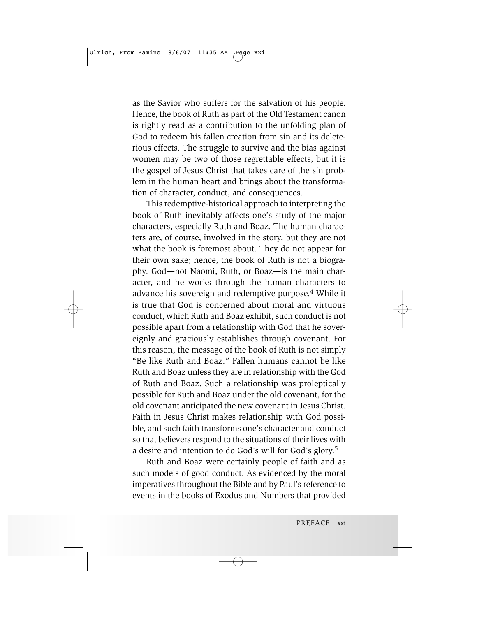as the Savior who suffers for the salvation of his people. Hence, the book of Ruth as part of the Old Testament canon is rightly read as a contribution to the unfolding plan of God to redeem his fallen creation from sin and its deleterious effects. The struggle to survive and the bias against women may be two of those regrettable effects, but it is the gospel of Jesus Christ that takes care of the sin problem in the human heart and brings about the transformation of character, conduct, and consequences.

This redemptive-historical approach to interpreting the book of Ruth inevitably affects one's study of the major characters, especially Ruth and Boaz. The human characters are, of course, involved in the story, but they are not what the book is foremost about. They do not appear for their own sake; hence, the book of Ruth is not a biography. God—not Naomi, Ruth, or Boaz—is the main character, and he works through the human characters to advance his sovereign and redemptive purpose.<sup>4</sup> While it is true that God is concerned about moral and virtuous conduct, which Ruth and Boaz exhibit, such conduct is not possible apart from a relationship with God that he sovereignly and graciously establishes through covenant. For this reason, the message of the book of Ruth is not simply "Be like Ruth and Boaz." Fallen humans cannot be like Ruth and Boaz unless they are in relationship with the God of Ruth and Boaz. Such a relationship was proleptically possible for Ruth and Boaz under the old covenant, for the old covenant anticipated the new covenant in Jesus Christ. Faith in Jesus Christ makes relationship with God possible, and such faith transforms one's character and conduct so that believers respond to the situations of their lives with a desire and intention to do God's will for God's glory.<sup>5</sup>

Ruth and Boaz were certainly people of faith and as such models of good conduct. As evidenced by the moral imperatives throughout the Bible and by Paul's reference to events in the books of Exodus and Numbers that provided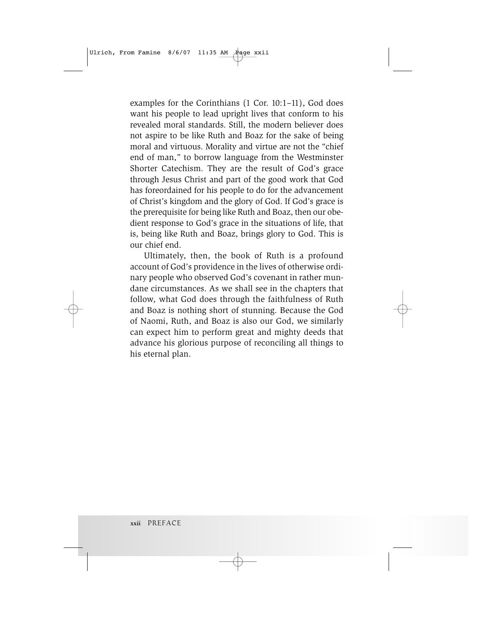examples for the Corinthians (1 Cor. 10:1–11), God does want his people to lead upright lives that conform to his revealed moral standards. Still, the modern believer does not aspire to be like Ruth and Boaz for the sake of being moral and virtuous. Morality and virtue are not the "chief end of man," to borrow language from the Westminster Shorter Catechism. They are the result of God's grace through Jesus Christ and part of the good work that God has foreordained for his people to do for the advancement of Christ's kingdom and the glory of God. If God's grace is the prerequisite for being like Ruth and Boaz, then our obedient response to God's grace in the situations of life, that is, being like Ruth and Boaz, brings glory to God. This is our chief end.

Ultimately, then, the book of Ruth is a profound account of God's providence in the lives of otherwise ordinary people who observed God's covenant in rather mundane circumstances. As we shall see in the chapters that follow, what God does through the faithfulness of Ruth and Boaz is nothing short of stunning. Because the God of Naomi, Ruth, and Boaz is also our God, we similarly can expect him to perform great and mighty deeds that advance his glorious purpose of reconciling all things to his eternal plan.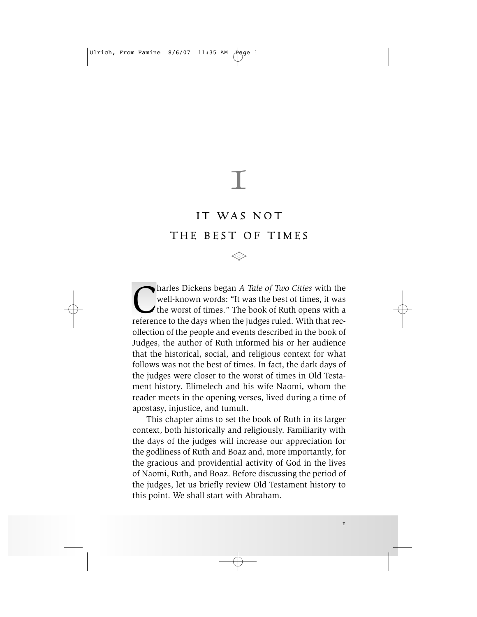Ulrich, From Famine  $8/6/07$  11:35 AM

# **IT WAS NOT THE BEST OF TIMES**

 $\mathbf{I}$ 

## A

**C**harles Dickens began *A Tale of Two Cities* with the well-known words: "It was the best of times, it was the worst of times." The book of Ruth opens with a reference to the days when the judges ruled With that rec well-known words: "It was the best of times, it was the worst of times." The book of Ruth opens with a reference to the days when the judges ruled. With that recollection of the people and events described in the book of Judges, the author of Ruth informed his or her audience that the historical, social, and religious context for what follows was not the best of times. In fact, the dark days of the judges were closer to the worst of times in Old Testament history. Elimelech and his wife Naomi, whom the reader meets in the opening verses, lived during a time of apostasy, injustice, and tumult.

This chapter aims to set the book of Ruth in its larger context, both historically and religiously. Familiarity with the days of the judges will increase our appreciation for the godliness of Ruth and Boaz and, more importantly, for the gracious and providential activity of God in the lives of Naomi, Ruth, and Boaz. Before discussing the period of the judges, let us briefly review Old Testament history to this point. We shall start with Abraham.

**1**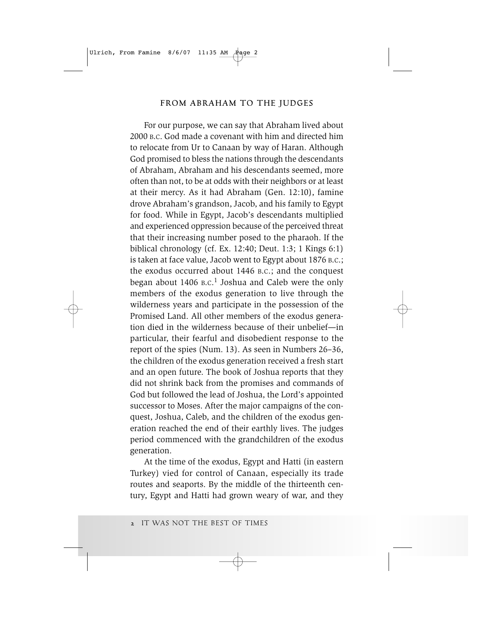## **FROM ABRAHAM TO THE JUDGES**

For our purpose, we can say that Abraham lived about 2000 B.C. God made a covenant with him and directed him to relocate from Ur to Canaan by way of Haran. Although God promised to bless the nations through the descendants of Abraham, Abraham and his descendants seemed, more often than not, to be at odds with their neighbors or at least at their mercy. As it had Abraham (Gen. 12:10), famine drove Abraham's grandson, Jacob, and his family to Egypt for food. While in Egypt, Jacob's descendants multiplied and experienced oppression because of the perceived threat that their increasing number posed to the pharaoh. If the biblical chronology (cf. Ex. 12:40; Deut. 1:3; 1 Kings 6:1) is taken at face value, Jacob went to Egypt about 1876 B.C.; the exodus occurred about 1446 B.C.; and the conquest began about 1406 B.c.<sup>1</sup> Joshua and Caleb were the only members of the exodus generation to live through the wilderness years and participate in the possession of the Promised Land. All other members of the exodus generation died in the wilderness because of their unbelief—in particular, their fearful and disobedient response to the report of the spies (Num. 13). As seen in Numbers 26–36, the children of the exodus generation received a fresh start and an open future. The book of Joshua reports that they did not shrink back from the promises and commands of God but followed the lead of Joshua, the Lord's appointed successor to Moses. After the major campaigns of the conquest, Joshua, Caleb, and the children of the exodus generation reached the end of their earthly lives. The judges period commenced with the grandchildren of the exodus generation.

At the time of the exodus, Egypt and Hatti (in eastern Turkey) vied for control of Canaan, especially its trade routes and seaports. By the middle of the thirteenth century, Egypt and Hatti had grown weary of war, and they

## **2** IT WAS NOT THE BEST OF TIMES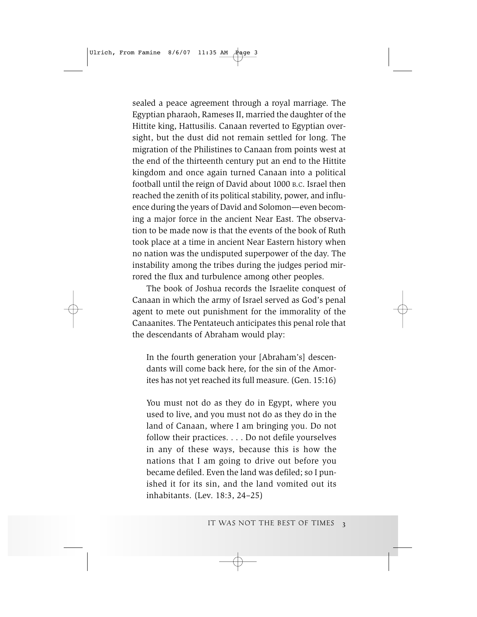sealed a peace agreement through a royal marriage. The Egyptian pharaoh, Rameses II, married the daughter of the Hittite king, Hattusilis. Canaan reverted to Egyptian oversight, but the dust did not remain settled for long. The migration of the Philistines to Canaan from points west at the end of the thirteenth century put an end to the Hittite kingdom and once again turned Canaan into a political football until the reign of David about 1000 B.C. Israel then reached the zenith of its political stability, power, and influence during the years of David and Solomon—even becoming a major force in the ancient Near East. The observation to be made now is that the events of the book of Ruth took place at a time in ancient Near Eastern history when no nation was the undisputed superpower of the day. The instability among the tribes during the judges period mirrored the flux and turbulence among other peoples.

The book of Joshua records the Israelite conquest of Canaan in which the army of Israel served as God's penal agent to mete out punishment for the immorality of the Canaanites. The Pentateuch anticipates this penal role that the descendants of Abraham would play:

In the fourth generation your [Abraham's] descendants will come back here, for the sin of the Amorites has not yet reached its full measure. (Gen. 15:16)

You must not do as they do in Egypt, where you used to live, and you must not do as they do in the land of Canaan, where I am bringing you. Do not follow their practices. . . . Do not defile yourselves in any of these ways, because this is how the nations that I am going to drive out before you became defiled. Even the land was defiled; so I punished it for its sin, and the land vomited out its inhabitants. (Lev. 18:3, 24–25)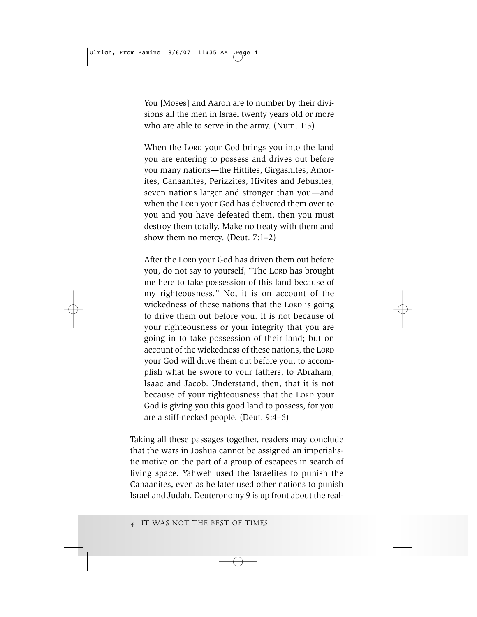You [Moses] and Aaron are to number by their divisions all the men in Israel twenty years old or more who are able to serve in the army. (Num. 1:3)

When the LORD your God brings you into the land you are entering to possess and drives out before you many nations—the Hittites, Girgashites, Amorites, Canaanites, Perizzites, Hivites and Jebusites, seven nations larger and stronger than you—and when the LORD your God has delivered them over to you and you have defeated them, then you must destroy them totally. Make no treaty with them and show them no mercy. (Deut. 7:1–2)

After the LORD your God has driven them out before you, do not say to yourself, "The LORD has brought me here to take possession of this land because of my righteousness." No, it is on account of the wickedness of these nations that the LORD is going to drive them out before you. It is not because of your righteousness or your integrity that you are going in to take possession of their land; but on account of the wickedness of these nations, the LORD your God will drive them out before you, to accomplish what he swore to your fathers, to Abraham, Isaac and Jacob. Understand, then, that it is not because of your righteousness that the LORD your God is giving you this good land to possess, for you are a stiff-necked people. (Deut. 9:4–6)

Taking all these passages together, readers may conclude that the wars in Joshua cannot be assigned an imperialistic motive on the part of a group of escapees in search of living space. Yahweh used the Israelites to punish the Canaanites, even as he later used other nations to punish Israel and Judah. Deuteronomy 9 is up front about the real-

## **4** IT WAS NOT THE BEST OF TIMES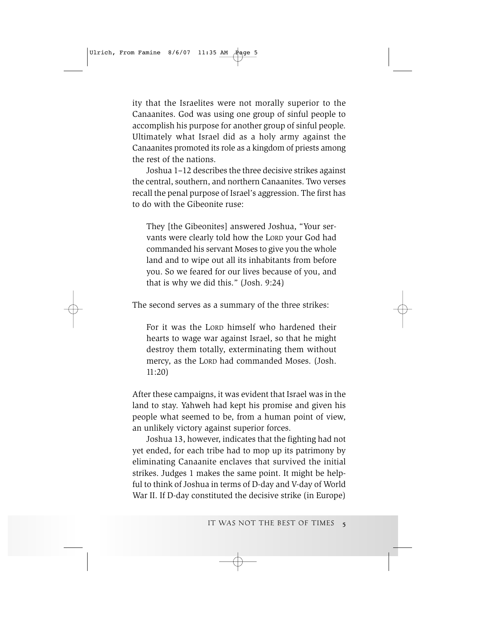ity that the Israelites were not morally superior to the Canaanites. God was using one group of sinful people to accomplish his purpose for another group of sinful people. Ultimately what Israel did as a holy army against the Canaanites promoted its role as a kingdom of priests among the rest of the nations.

Joshua 1–12 describes the three decisive strikes against the central, southern, and northern Canaanites. Two verses recall the penal purpose of Israel's aggression. The first has to do with the Gibeonite ruse:

They [the Gibeonites] answered Joshua, "Your servants were clearly told how the LORD your God had commanded his servant Moses to give you the whole land and to wipe out all its inhabitants from before you. So we feared for our lives because of you, and that is why we did this." (Josh. 9:24)

The second serves as a summary of the three strikes:

For it was the LORD himself who hardened their hearts to wage war against Israel, so that he might destroy them totally, exterminating them without mercy, as the LORD had commanded Moses. (Josh. 11:20)

After these campaigns, it was evident that Israel was in the land to stay. Yahweh had kept his promise and given his people what seemed to be, from a human point of view, an unlikely victory against superior forces.

Joshua 13, however, indicates that the fighting had not yet ended, for each tribe had to mop up its patrimony by eliminating Canaanite enclaves that survived the initial strikes. Judges 1 makes the same point. It might be helpful to think of Joshua in terms of D-day and V-day of World War II. If D-day constituted the decisive strike (in Europe)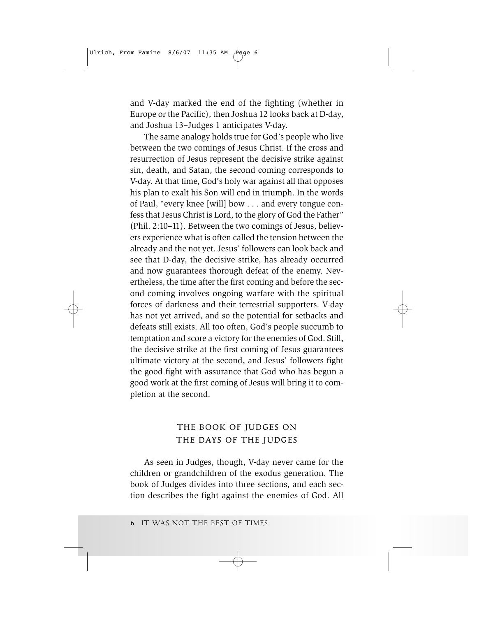and V-day marked the end of the fighting (whether in Europe or the Pacific), then Joshua 12 looks back at D-day, and Joshua 13–Judges 1 anticipates V-day.

The same analogy holds true for God's people who live between the two comings of Jesus Christ. If the cross and resurrection of Jesus represent the decisive strike against sin, death, and Satan, the second coming corresponds to V-day. At that time, God's holy war against all that opposes his plan to exalt his Son will end in triumph. In the words of Paul, "every knee [will] bow . . . and every tongue confess that Jesus Christ is Lord, to the glory of God the Father" (Phil. 2:10–11). Between the two comings of Jesus, believers experience what is often called the tension between the already and the not yet. Jesus' followers can look back and see that D-day, the decisive strike, has already occurred and now guarantees thorough defeat of the enemy. Nevertheless, the time after the first coming and before the second coming involves ongoing warfare with the spiritual forces of darkness and their terrestrial supporters. V-day has not yet arrived, and so the potential for setbacks and defeats still exists. All too often, God's people succumb to temptation and score a victory for the enemies of God. Still, the decisive strike at the first coming of Jesus guarantees ultimate victory at the second, and Jesus' followers fight the good fight with assurance that God who has begun a good work at the first coming of Jesus will bring it to completion at the second.

# **THE BOOK OF JUDGES ON THE DAYS OF THE JUDGES**

As seen in Judges, though, V-day never came for the children or grandchildren of the exodus generation. The book of Judges divides into three sections, and each section describes the fight against the enemies of God. All

## **6** IT WAS NOT THE BEST OF TIMES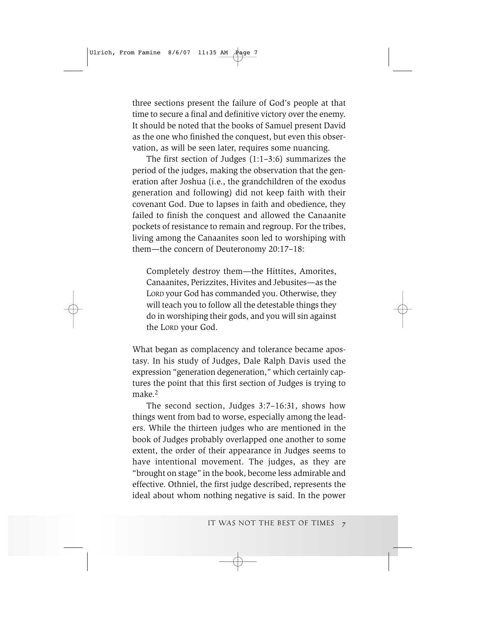three sections present the failure of God's people at that time to secure a final and definitive victory over the enemy. It should be noted that the books of Samuel present David as the one who finished the conquest, but even this observation, as will be seen later, requires some nuancing.

The first section of Judges (1:1–3:6) summarizes the period of the judges, making the observation that the generation after Joshua (i.e., the grandchildren of the exodus generation and following) did not keep faith with their covenant God. Due to lapses in faith and obedience, they failed to finish the conquest and allowed the Canaanite pockets of resistance to remain and regroup. For the tribes, living among the Canaanites soon led to worshiping with them—the concern of Deuteronomy 20:17–18:

Completely destroy them—the Hittites, Amorites, Canaanites, Perizzites, Hivites and Jebusites—as the LORD your God has commanded you. Otherwise, they will teach you to follow all the detestable things they do in worshiping their gods, and you will sin against the LORD your God.

What began as complacency and tolerance became apostasy. In his study of Judges, Dale Ralph Davis used the expression "generation degeneration," which certainly captures the point that this first section of Judges is trying to make.<sup>2</sup>

The second section, Judges 3:7–16:31, shows how things went from bad to worse, especially among the leaders. While the thirteen judges who are mentioned in the book of Judges probably overlapped one another to some extent, the order of their appearance in Judges seems to have intentional movement. The judges, as they are "brought on stage" in the book, become less admirable and effective. Othniel, the first judge described, represents the ideal about whom nothing negative is said. In the power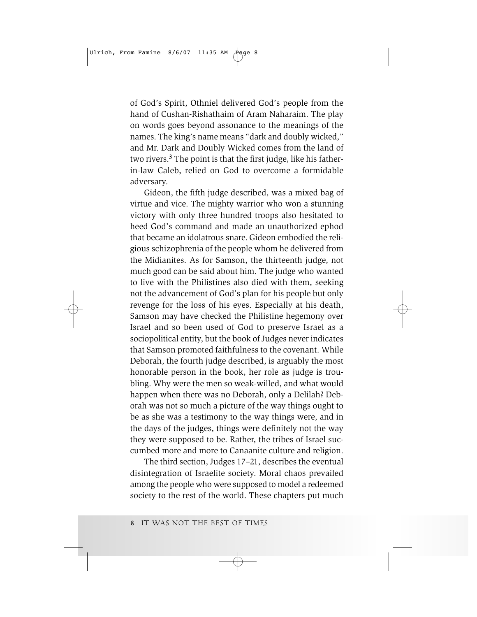of God's Spirit, Othniel delivered God's people from the hand of Cushan-Rishathaim of Aram Naharaim. The play on words goes beyond assonance to the meanings of the names. The king's name means "dark and doubly wicked," and Mr. Dark and Doubly Wicked comes from the land of two rivers.<sup>3</sup> The point is that the first judge, like his fatherin-law Caleb, relied on God to overcome a formidable adversary.

Gideon, the fifth judge described, was a mixed bag of virtue and vice. The mighty warrior who won a stunning victory with only three hundred troops also hesitated to heed God's command and made an unauthorized ephod that became an idolatrous snare. Gideon embodied the religious schizophrenia of the people whom he delivered from the Midianites. As for Samson, the thirteenth judge, not much good can be said about him. The judge who wanted to live with the Philistines also died with them, seeking not the advancement of God's plan for his people but only revenge for the loss of his eyes. Especially at his death, Samson may have checked the Philistine hegemony over Israel and so been used of God to preserve Israel as a sociopolitical entity, but the book of Judges never indicates that Samson promoted faithfulness to the covenant. While Deborah, the fourth judge described, is arguably the most honorable person in the book, her role as judge is troubling. Why were the men so weak-willed, and what would happen when there was no Deborah, only a Delilah? Deborah was not so much a picture of the way things ought to be as she was a testimony to the way things were, and in the days of the judges, things were definitely not the way they were supposed to be. Rather, the tribes of Israel succumbed more and more to Canaanite culture and religion.

The third section, Judges 17–21, describes the eventual disintegration of Israelite society. Moral chaos prevailed among the people who were supposed to model a redeemed society to the rest of the world. These chapters put much

#### **8** IT WAS NOT THE BEST OF TIMES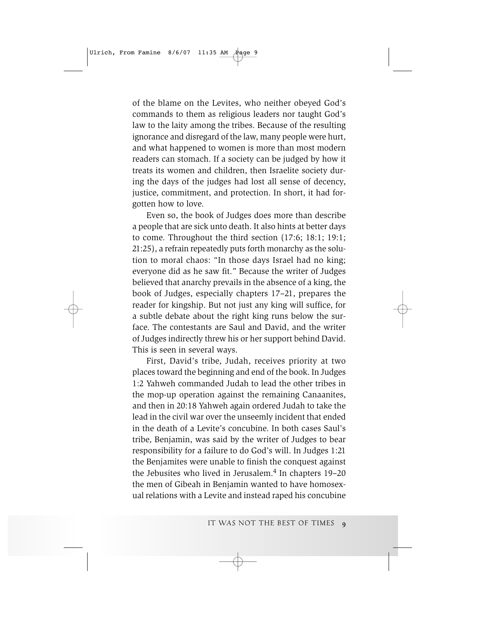of the blame on the Levites, who neither obeyed God's commands to them as religious leaders nor taught God's law to the laity among the tribes. Because of the resulting ignorance and disregard of the law, many people were hurt, and what happened to women is more than most modern readers can stomach. If a society can be judged by how it treats its women and children, then Israelite society during the days of the judges had lost all sense of decency, justice, commitment, and protection. In short, it had forgotten how to love.

Even so, the book of Judges does more than describe a people that are sick unto death. It also hints at better days to come. Throughout the third section (17:6; 18:1; 19:1; 21:25), a refrain repeatedly puts forth monarchy as the solution to moral chaos: "In those days Israel had no king; everyone did as he saw fit." Because the writer of Judges believed that anarchy prevails in the absence of a king, the book of Judges, especially chapters 17–21, prepares the reader for kingship. But not just any king will suffice, for a subtle debate about the right king runs below the surface. The contestants are Saul and David, and the writer of Judges indirectly threw his or her support behind David. This is seen in several ways.

First, David's tribe, Judah, receives priority at two places toward the beginning and end of the book. In Judges 1:2 Yahweh commanded Judah to lead the other tribes in the mop-up operation against the remaining Canaanites, and then in 20:18 Yahweh again ordered Judah to take the lead in the civil war over the unseemly incident that ended in the death of a Levite's concubine. In both cases Saul's tribe, Benjamin, was said by the writer of Judges to bear responsibility for a failure to do God's will. In Judges 1:21 the Benjamites were unable to finish the conquest against the Jebusites who lived in Jerusalem.<sup>4</sup> In chapters 19–20 the men of Gibeah in Benjamin wanted to have homosexual relations with a Levite and instead raped his concubine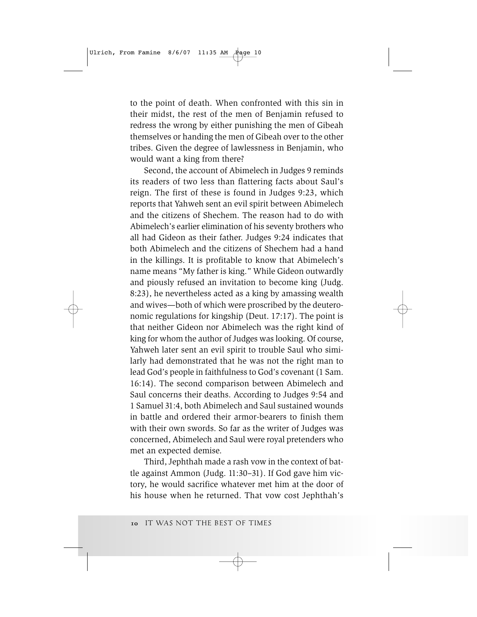to the point of death. When confronted with this sin in their midst, the rest of the men of Benjamin refused to redress the wrong by either punishing the men of Gibeah themselves or handing the men of Gibeah over to the other tribes. Given the degree of lawlessness in Benjamin, who would want a king from there?

Second, the account of Abimelech in Judges 9 reminds its readers of two less than flattering facts about Saul's reign. The first of these is found in Judges 9:23, which reports that Yahweh sent an evil spirit between Abimelech and the citizens of Shechem. The reason had to do with Abimelech's earlier elimination of his seventy brothers who all had Gideon as their father. Judges 9:24 indicates that both Abimelech and the citizens of Shechem had a hand in the killings. It is profitable to know that Abimelech's name means "My father is king." While Gideon outwardly and piously refused an invitation to become king (Judg. 8:23), he nevertheless acted as a king by amassing wealth and wives—both of which were proscribed by the deuteronomic regulations for kingship (Deut. 17:17). The point is that neither Gideon nor Abimelech was the right kind of king for whom the author of Judges was looking. Of course, Yahweh later sent an evil spirit to trouble Saul who similarly had demonstrated that he was not the right man to lead God's people in faithfulness to God's covenant (1 Sam. 16:14). The second comparison between Abimelech and Saul concerns their deaths. According to Judges 9:54 and 1 Samuel 31:4, both Abimelech and Saul sustained wounds in battle and ordered their armor-bearers to finish them with their own swords. So far as the writer of Judges was concerned, Abimelech and Saul were royal pretenders who met an expected demise.

Third, Jephthah made a rash vow in the context of battle against Ammon (Judg. 11:30–31). If God gave him victory, he would sacrifice whatever met him at the door of his house when he returned. That vow cost Jephthah's

## **1T WAS NOT THE BEST OF TIMES**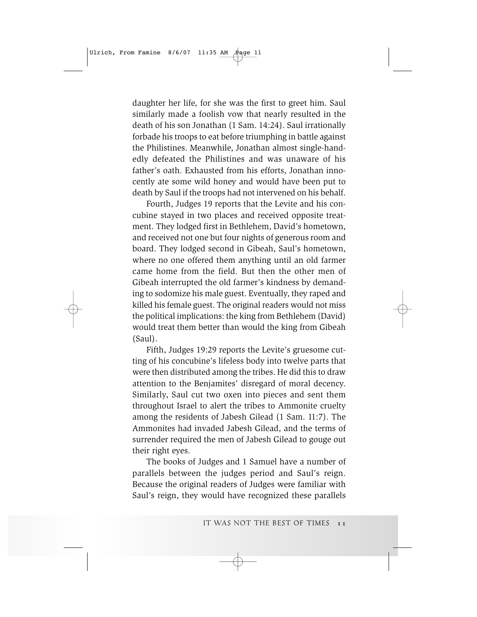daughter her life, for she was the first to greet him. Saul similarly made a foolish vow that nearly resulted in the death of his son Jonathan (1 Sam. 14:24). Saul irrationally forbade his troops to eat before triumphing in battle against the Philistines. Meanwhile, Jonathan almost single-handedly defeated the Philistines and was unaware of his father's oath. Exhausted from his efforts, Jonathan innocently ate some wild honey and would have been put to death by Saul if the troops had not intervened on his behalf.

Fourth, Judges 19 reports that the Levite and his concubine stayed in two places and received opposite treatment. They lodged first in Bethlehem, David's hometown, and received not one but four nights of generous room and board. They lodged second in Gibeah, Saul's hometown, where no one offered them anything until an old farmer came home from the field. But then the other men of Gibeah interrupted the old farmer's kindness by demanding to sodomize his male guest. Eventually, they raped and killed his female guest. The original readers would not miss the political implications: the king from Bethlehem (David) would treat them better than would the king from Gibeah (Saul).

Fifth, Judges 19:29 reports the Levite's gruesome cutting of his concubine's lifeless body into twelve parts that were then distributed among the tribes. He did this to draw attention to the Benjamites' disregard of moral decency. Similarly, Saul cut two oxen into pieces and sent them throughout Israel to alert the tribes to Ammonite cruelty among the residents of Jabesh Gilead (1 Sam. 11:7). The Ammonites had invaded Jabesh Gilead, and the terms of surrender required the men of Jabesh Gilead to gouge out their right eyes.

The books of Judges and 1 Samuel have a number of parallels between the judges period and Saul's reign. Because the original readers of Judges were familiar with Saul's reign, they would have recognized these parallels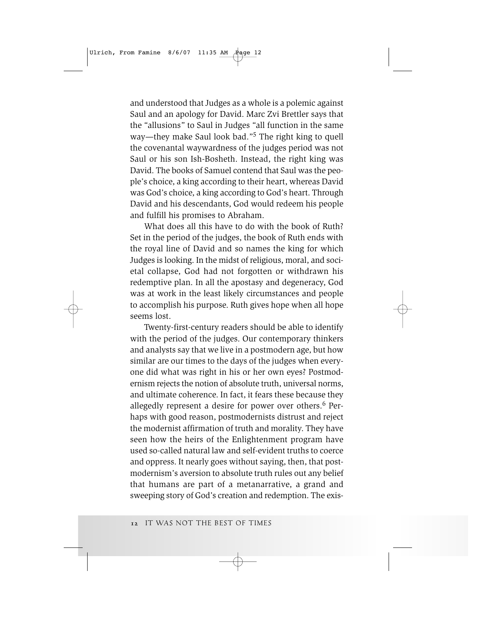and understood that Judges as a whole is a polemic against Saul and an apology for David. Marc Zvi Brettler says that the "allusions" to Saul in Judges "all function in the same way—they make Saul look bad."<sup>5</sup> The right king to quell the covenantal waywardness of the judges period was not Saul or his son Ish-Bosheth. Instead, the right king was David. The books of Samuel contend that Saul was the people's choice, a king according to their heart, whereas David was God's choice, a king according to God's heart. Through David and his descendants, God would redeem his people and fulfill his promises to Abraham.

What does all this have to do with the book of Ruth? Set in the period of the judges, the book of Ruth ends with the royal line of David and so names the king for which Judges is looking. In the midst of religious, moral, and societal collapse, God had not forgotten or withdrawn his redemptive plan. In all the apostasy and degeneracy, God was at work in the least likely circumstances and people to accomplish his purpose. Ruth gives hope when all hope seems lost.

Twenty-first-century readers should be able to identify with the period of the judges. Our contemporary thinkers and analysts say that we live in a postmodern age, but how similar are our times to the days of the judges when everyone did what was right in his or her own eyes? Postmodernism rejects the notion of absolute truth, universal norms, and ultimate coherence. In fact, it fears these because they allegedly represent a desire for power over others.<sup>6</sup> Perhaps with good reason, postmodernists distrust and reject the modernist affirmation of truth and morality. They have seen how the heirs of the Enlightenment program have used so-called natural law and self-evident truths to coerce and oppress. It nearly goes without saying, then, that postmodernism's aversion to absolute truth rules out any belief that humans are part of a metanarrative, a grand and sweeping story of God's creation and redemption. The exis-

## **12** IT WAS NOT THE BEST OF TIMES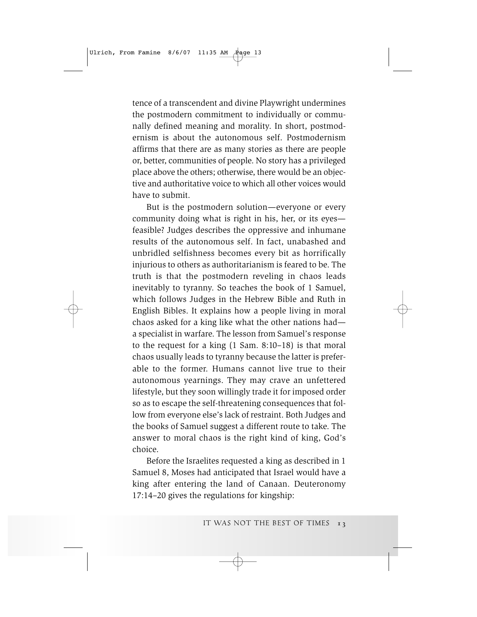tence of a transcendent and divine Playwright undermines the postmodern commitment to individually or communally defined meaning and morality. In short, postmodernism is about the autonomous self. Postmodernism affirms that there are as many stories as there are people or, better, communities of people. No story has a privileged place above the others; otherwise, there would be an objective and authoritative voice to which all other voices would have to submit.

But is the postmodern solution—everyone or every community doing what is right in his, her, or its eyes feasible? Judges describes the oppressive and inhumane results of the autonomous self. In fact, unabashed and unbridled selfishness becomes every bit as horrifically injurious to others as authoritarianism is feared to be. The truth is that the postmodern reveling in chaos leads inevitably to tyranny. So teaches the book of 1 Samuel, which follows Judges in the Hebrew Bible and Ruth in English Bibles. It explains how a people living in moral chaos asked for a king like what the other nations had a specialist in warfare. The lesson from Samuel's response to the request for a king (1 Sam. 8:10–18) is that moral chaos usually leads to tyranny because the latter is preferable to the former. Humans cannot live true to their autonomous yearnings. They may crave an unfettered lifestyle, but they soon willingly trade it for imposed order so as to escape the self-threatening consequences that follow from everyone else's lack of restraint. Both Judges and the books of Samuel suggest a different route to take. The answer to moral chaos is the right kind of king, God's choice.

Before the Israelites requested a king as described in 1 Samuel 8, Moses had anticipated that Israel would have a king after entering the land of Canaan. Deuteronomy 17:14–20 gives the regulations for kingship: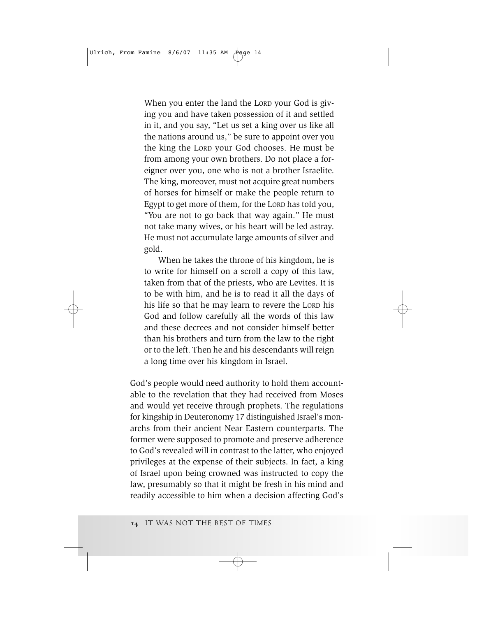When you enter the land the LORD your God is giving you and have taken possession of it and settled in it, and you say, "Let us set a king over us like all the nations around us," be sure to appoint over you the king the LORD your God chooses. He must be from among your own brothers. Do not place a foreigner over you, one who is not a brother Israelite. The king, moreover, must not acquire great numbers of horses for himself or make the people return to Egypt to get more of them, for the LORD has told you, "You are not to go back that way again." He must not take many wives, or his heart will be led astray. He must not accumulate large amounts of silver and gold.

When he takes the throne of his kingdom, he is to write for himself on a scroll a copy of this law, taken from that of the priests, who are Levites. It is to be with him, and he is to read it all the days of his life so that he may learn to revere the LORD his God and follow carefully all the words of this law and these decrees and not consider himself better than his brothers and turn from the law to the right or to the left. Then he and his descendants will reign a long time over his kingdom in Israel.

God's people would need authority to hold them accountable to the revelation that they had received from Moses and would yet receive through prophets. The regulations for kingship in Deuteronomy 17 distinguished Israel's monarchs from their ancient Near Eastern counterparts. The former were supposed to promote and preserve adherence to God's revealed will in contrast to the latter, who enjoyed privileges at the expense of their subjects. In fact, a king of Israel upon being crowned was instructed to copy the law, presumably so that it might be fresh in his mind and readily accessible to him when a decision affecting God's

## **14** IT WAS NOT THE BEST OF TIMES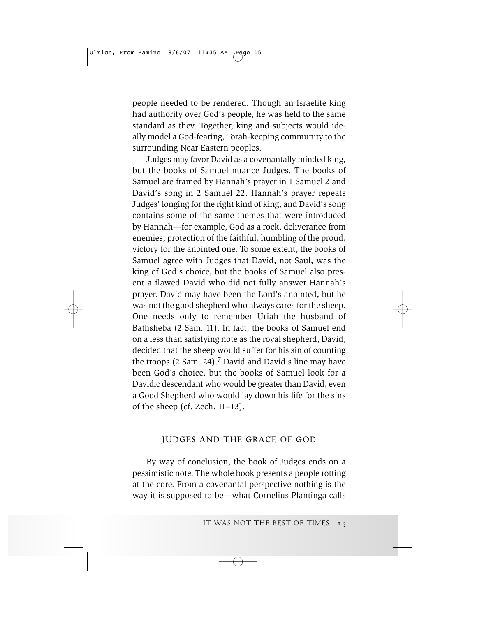people needed to be rendered. Though an Israelite king had authority over God's people, he was held to the same standard as they. Together, king and subjects would ideally model a God-fearing, Torah-keeping community to the surrounding Near Eastern peoples.

Judges may favor David as a covenantally minded king, but the books of Samuel nuance Judges. The books of Samuel are framed by Hannah's prayer in 1 Samuel 2 and David's song in 2 Samuel 22. Hannah's prayer repeats Judges' longing for the right kind of king, and David's song contains some of the same themes that were introduced by Hannah—for example, God as a rock, deliverance from enemies, protection of the faithful, humbling of the proud, victory for the anointed one. To some extent, the books of Samuel agree with Judges that David, not Saul, was the king of God's choice, but the books of Samuel also present a flawed David who did not fully answer Hannah's prayer. David may have been the Lord's anointed, but he was not the good shepherd who always cares for the sheep. One needs only to remember Uriah the husband of Bathsheba (2 Sam. 11). In fact, the books of Samuel end on a less than satisfying note as the royal shepherd, David, decided that the sheep would suffer for his sin of counting the troops  $(2 \text{ Sam. } 24)$ .<sup>7</sup> David and David's line may have been God's choice, but the books of Samuel look for a Davidic descendant who would be greater than David, even a Good Shepherd who would lay down his life for the sins of the sheep (cf. Zech. 11–13).

#### **JUDGES AND THE GRACE OF GOD**

By way of conclusion, the book of Judges ends on a pessimistic note. The whole book presents a people rotting at the core. From a covenantal perspective nothing is the way it is supposed to be—what Cornelius Plantinga calls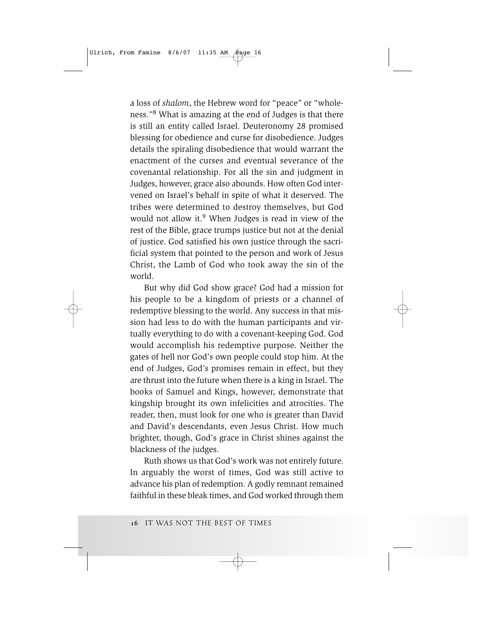a loss of *shalom*, the Hebrew word for "peace" or "wholeness."<sup>8</sup> What is amazing at the end of Judges is that there is still an entity called Israel. Deuteronomy 28 promised blessing for obedience and curse for disobedience. Judges details the spiraling disobedience that would warrant the enactment of the curses and eventual severance of the covenantal relationship. For all the sin and judgment in Judges, however, grace also abounds. How often God intervened on Israel's behalf in spite of what it deserved. The tribes were determined to destroy themselves, but God would not allow it.<sup>9</sup> When Judges is read in view of the rest of the Bible, grace trumps justice but not at the denial of justice. God satisfied his own justice through the sacrificial system that pointed to the person and work of Jesus Christ, the Lamb of God who took away the sin of the world.

But why did God show grace? God had a mission for his people to be a kingdom of priests or a channel of redemptive blessing to the world. Any success in that mission had less to do with the human participants and virtually everything to do with a covenant-keeping God. God would accomplish his redemptive purpose. Neither the gates of hell nor God's own people could stop him. At the end of Judges, God's promises remain in effect, but they are thrust into the future when there is a king in Israel. The books of Samuel and Kings, however, demonstrate that kingship brought its own infelicities and atrocities. The reader, then, must look for one who is greater than David and David's descendants, even Jesus Christ. How much brighter, though, God's grace in Christ shines against the blackness of the judges.

Ruth shows us that God's work was not entirely future. In arguably the worst of times, God was still active to advance his plan of redemption. A godly remnant remained faithful in these bleak times, and God worked through them

## **16** IT WAS NOT THE BEST OF TIMES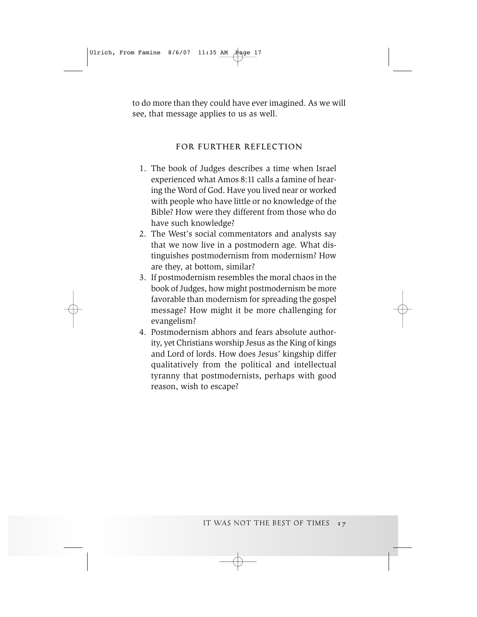to do more than they could have ever imagined. As we will see, that message applies to us as well.

## **FOR FURTHER REFLECTION**

- 1. The book of Judges describes a time when Israel experienced what Amos 8:11 calls a famine of hearing the Word of God. Have you lived near or worked with people who have little or no knowledge of the Bible? How were they different from those who do have such knowledge?
- 2. The West's social commentators and analysts say that we now live in a postmodern age. What distinguishes postmodernism from modernism? How are they, at bottom, similar?
- 3. If postmodernism resembles the moral chaos in the book of Judges, how might postmodernism be more favorable than modernism for spreading the gospel message? How might it be more challenging for evangelism?
- 4. Postmodernism abhors and fears absolute authority, yet Christians worship Jesus as the King of kings and Lord of lords. How does Jesus' kingship differ qualitatively from the political and intellectual tyranny that postmodernists, perhaps with good reason, wish to escape?

# IT WAS NOT THE BEST OF TIMES **17**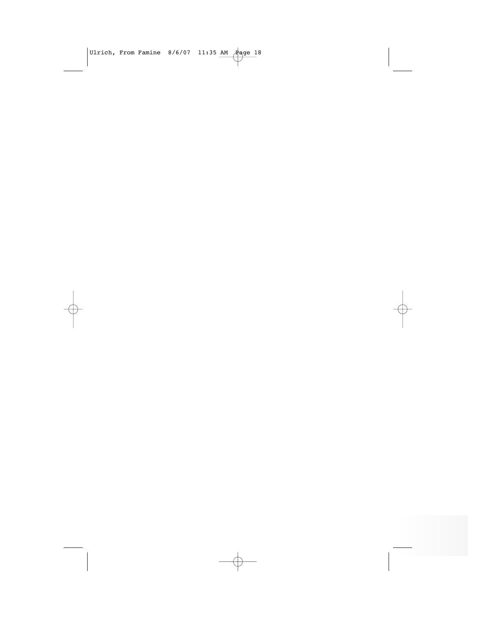Ulrich, From Famine  $8/6/07$  11:35 AM  $\frac{1}{2}$ age 18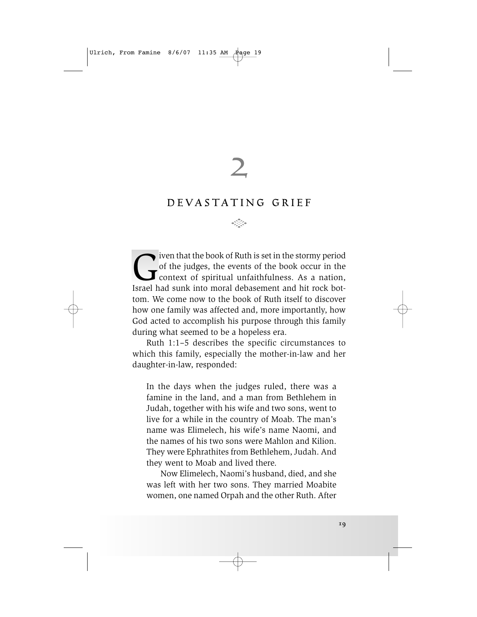Ulrich, From Famine  $8/6/07$  11:35 AM

# 2

# **DEVASTATING GRIEF**

## A

The storm of Ruth is set in the stormy period<br>of the judges, the events of the book occur in the<br>context of spiritual unfaithfulness. As a nation,<br>stared had sunk into moral debasement and bit rock both of the judges, the events of the book occur in the context of spiritual unfaithfulness. As a nation, Israel had sunk into moral debasement and hit rock bottom. We come now to the book of Ruth itself to discover how one family was affected and, more importantly, how God acted to accomplish his purpose through this family during what seemed to be a hopeless era.

Ruth 1:1–5 describes the specific circumstances to which this family, especially the mother-in-law and her daughter-in-law, responded:

In the days when the judges ruled, there was a famine in the land, and a man from Bethlehem in Judah, together with his wife and two sons, went to live for a while in the country of Moab. The man's name was Elimelech, his wife's name Naomi, and the names of his two sons were Mahlon and Kilion. They were Ephrathites from Bethlehem, Judah. And they went to Moab and lived there.

Now Elimelech, Naomi's husband, died, and she was left with her two sons. They married Moabite women, one named Orpah and the other Ruth. After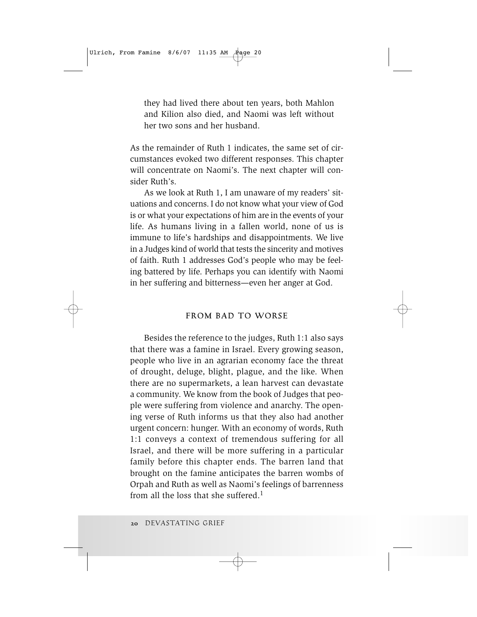they had lived there about ten years, both Mahlon and Kilion also died, and Naomi was left without her two sons and her husband.

As the remainder of Ruth 1 indicates, the same set of circumstances evoked two different responses. This chapter will concentrate on Naomi's. The next chapter will consider Ruth's.

As we look at Ruth 1, I am unaware of my readers' situations and concerns. I do not know what your view of God is or what your expectations of him are in the events of your life. As humans living in a fallen world, none of us is immune to life's hardships and disappointments. We live in a Judges kind of world that tests the sincerity and motives of faith. Ruth 1 addresses God's people who may be feeling battered by life. Perhaps you can identify with Naomi in her suffering and bitterness—even her anger at God.

# **FROM BAD TO WORSE**

Besides the reference to the judges, Ruth 1:1 also says that there was a famine in Israel. Every growing season, people who live in an agrarian economy face the threat of drought, deluge, blight, plague, and the like. When there are no supermarkets, a lean harvest can devastate a community. We know from the book of Judges that people were suffering from violence and anarchy. The opening verse of Ruth informs us that they also had another urgent concern: hunger. With an economy of words, Ruth 1:1 conveys a context of tremendous suffering for all Israel, and there will be more suffering in a particular family before this chapter ends. The barren land that brought on the famine anticipates the barren wombs of Orpah and Ruth as well as Naomi's feelings of barrenness from all the loss that she suffered.<sup>1</sup>

**20** DEVASTATING GRIEF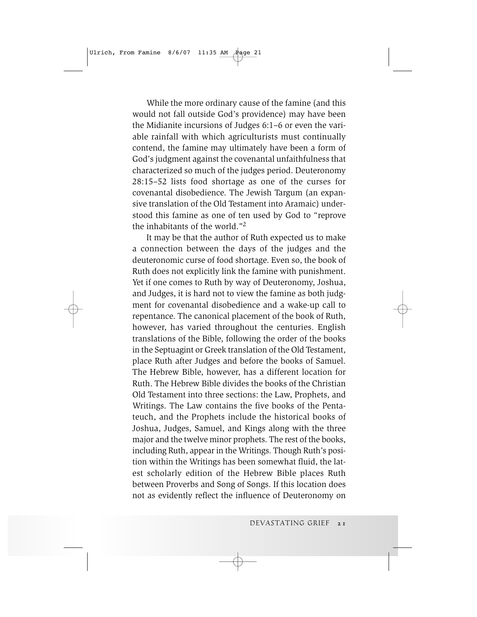While the more ordinary cause of the famine (and this would not fall outside God's providence) may have been the Midianite incursions of Judges 6:1–6 or even the variable rainfall with which agriculturists must continually contend, the famine may ultimately have been a form of God's judgment against the covenantal unfaithfulness that characterized so much of the judges period. Deuteronomy 28:15–52 lists food shortage as one of the curses for covenantal disobedience. The Jewish Targum (an expansive translation of the Old Testament into Aramaic) understood this famine as one of ten used by God to "reprove the inhabitants of the world."<sup>2</sup>

It may be that the author of Ruth expected us to make a connection between the days of the judges and the deuteronomic curse of food shortage. Even so, the book of Ruth does not explicitly link the famine with punishment. Yet if one comes to Ruth by way of Deuteronomy, Joshua, and Judges, it is hard not to view the famine as both judgment for covenantal disobedience and a wake-up call to repentance. The canonical placement of the book of Ruth, however, has varied throughout the centuries. English translations of the Bible, following the order of the books in the Septuagint or Greek translation of the Old Testament, place Ruth after Judges and before the books of Samuel. The Hebrew Bible, however, has a different location for Ruth. The Hebrew Bible divides the books of the Christian Old Testament into three sections: the Law, Prophets, and Writings. The Law contains the five books of the Pentateuch, and the Prophets include the historical books of Joshua, Judges, Samuel, and Kings along with the three major and the twelve minor prophets. The rest of the books, including Ruth, appear in the Writings. Though Ruth's position within the Writings has been somewhat fluid, the latest scholarly edition of the Hebrew Bible places Ruth between Proverbs and Song of Songs. If this location does not as evidently reflect the influence of Deuteronomy on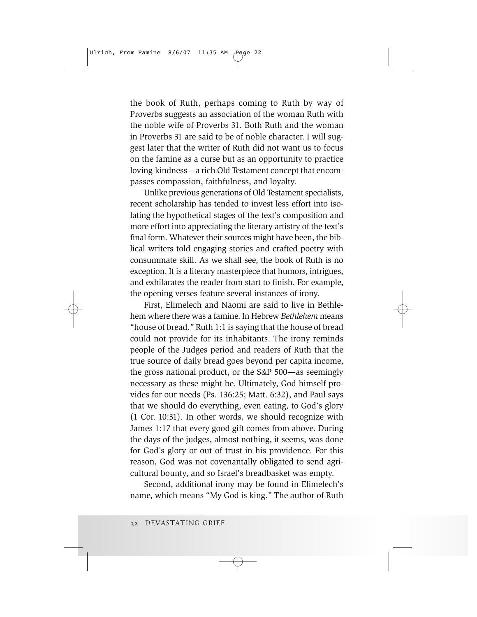the book of Ruth, perhaps coming to Ruth by way of Proverbs suggests an association of the woman Ruth with the noble wife of Proverbs 31. Both Ruth and the woman in Proverbs 31 are said to be of noble character. I will suggest later that the writer of Ruth did not want us to focus on the famine as a curse but as an opportunity to practice loving-kindness—a rich Old Testament concept that encompasses compassion, faithfulness, and loyalty.

Unlike previous generations of Old Testament specialists, recent scholarship has tended to invest less effort into isolating the hypothetical stages of the text's composition and more effort into appreciating the literary artistry of the text's final form. Whatever their sources might have been, the biblical writers told engaging stories and crafted poetry with consummate skill. As we shall see, the book of Ruth is no exception. It is a literary masterpiece that humors, intrigues, and exhilarates the reader from start to finish. For example, the opening verses feature several instances of irony.

First, Elimelech and Naomi are said to live in Bethlehem where there was a famine. In Hebrew *Bethlehem* means "house of bread." Ruth 1:1 is saying that the house of bread could not provide for its inhabitants. The irony reminds people of the Judges period and readers of Ruth that the true source of daily bread goes beyond per capita income, the gross national product, or the S&P 500—as seemingly necessary as these might be. Ultimately, God himself provides for our needs (Ps. 136:25; Matt. 6:32), and Paul says that we should do everything, even eating, to God's glory (1 Cor. 10:31). In other words, we should recognize with James 1:17 that every good gift comes from above. During the days of the judges, almost nothing, it seems, was done for God's glory or out of trust in his providence. For this reason, God was not covenantally obligated to send agricultural bounty, and so Israel's breadbasket was empty.

Second, additional irony may be found in Elimelech's name, which means "My God is king." The author of Ruth

**22** DEVASTATING GRIEF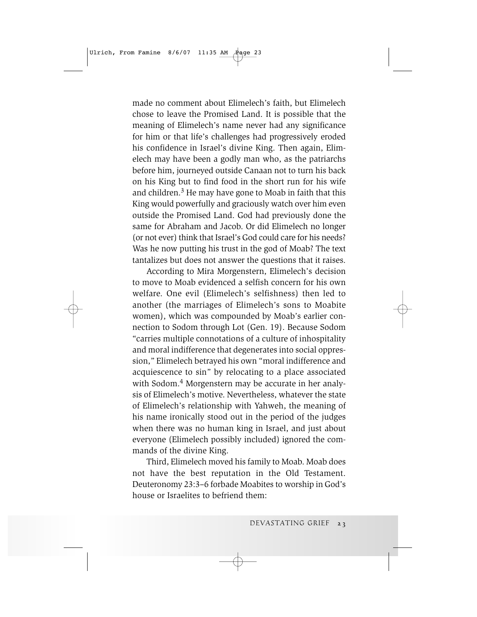made no comment about Elimelech's faith, but Elimelech chose to leave the Promised Land. It is possible that the meaning of Elimelech's name never had any significance for him or that life's challenges had progressively eroded his confidence in Israel's divine King. Then again, Elimelech may have been a godly man who, as the patriarchs before him, journeyed outside Canaan not to turn his back on his King but to find food in the short run for his wife and children.<sup>3</sup> He may have gone to Moab in faith that this King would powerfully and graciously watch over him even outside the Promised Land. God had previously done the same for Abraham and Jacob. Or did Elimelech no longer (or not ever) think that Israel's God could care for his needs? Was he now putting his trust in the god of Moab? The text tantalizes but does not answer the questions that it raises.

According to Mira Morgenstern, Elimelech's decision to move to Moab evidenced a selfish concern for his own welfare. One evil (Elimelech's selfishness) then led to another (the marriages of Elimelech's sons to Moabite women), which was compounded by Moab's earlier connection to Sodom through Lot (Gen. 19). Because Sodom "carries multiple connotations of a culture of inhospitality and moral indifference that degenerates into social oppression," Elimelech betrayed his own "moral indifference and acquiescence to sin" by relocating to a place associated with Sodom.<sup>4</sup> Morgenstern may be accurate in her analysis of Elimelech's motive. Nevertheless, whatever the state of Elimelech's relationship with Yahweh, the meaning of his name ironically stood out in the period of the judges when there was no human king in Israel, and just about everyone (Elimelech possibly included) ignored the commands of the divine King.

Third, Elimelech moved his family to Moab. Moab does not have the best reputation in the Old Testament. Deuteronomy 23:3–6 forbade Moabites to worship in God's house or Israelites to befriend them: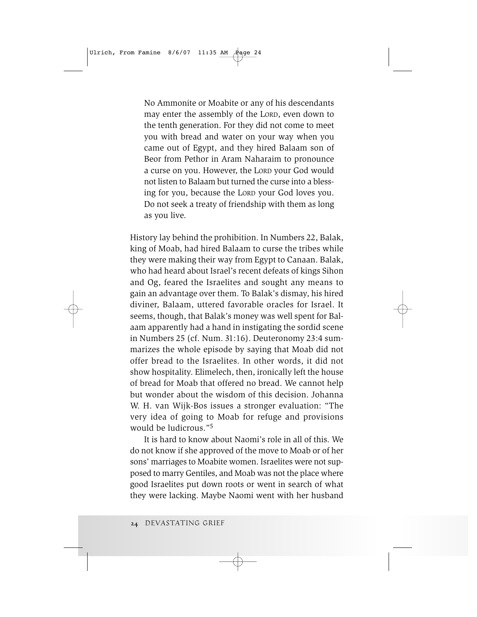No Ammonite or Moabite or any of his descendants may enter the assembly of the LORD, even down to the tenth generation. For they did not come to meet you with bread and water on your way when you came out of Egypt, and they hired Balaam son of Beor from Pethor in Aram Naharaim to pronounce a curse on you. However, the LORD your God would not listen to Balaam but turned the curse into a blessing for you, because the LORD your God loves you. Do not seek a treaty of friendship with them as long as you live.

History lay behind the prohibition. In Numbers 22, Balak, king of Moab, had hired Balaam to curse the tribes while they were making their way from Egypt to Canaan. Balak, who had heard about Israel's recent defeats of kings Sihon and Og, feared the Israelites and sought any means to gain an advantage over them. To Balak's dismay, his hired diviner, Balaam, uttered favorable oracles for Israel. It seems, though, that Balak's money was well spent for Balaam apparently had a hand in instigating the sordid scene in Numbers 25 (cf. Num. 31:16). Deuteronomy 23:4 summarizes the whole episode by saying that Moab did not offer bread to the Israelites. In other words, it did not show hospitality. Elimelech, then, ironically left the house of bread for Moab that offered no bread. We cannot help but wonder about the wisdom of this decision. Johanna W. H. van Wijk-Bos issues a stronger evaluation: "The very idea of going to Moab for refuge and provisions would be ludicrous."<sup>5</sup>

It is hard to know about Naomi's role in all of this. We do not know if she approved of the move to Moab or of her sons' marriages to Moabite women. Israelites were not supposed to marry Gentiles, and Moab was not the place where good Israelites put down roots or went in search of what they were lacking. Maybe Naomi went with her husband

**24** DEVASTATING GRIEF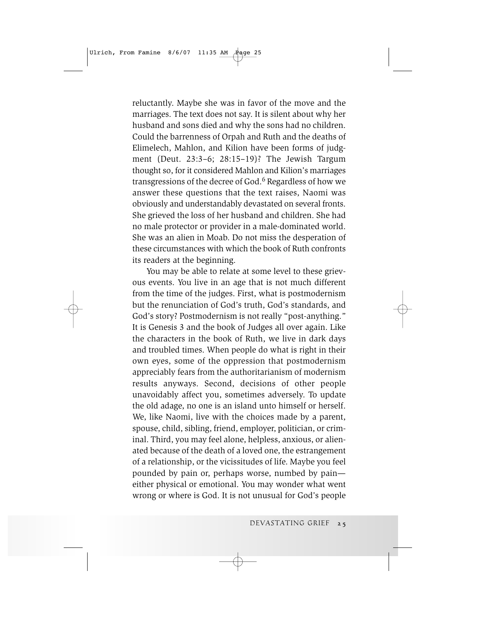reluctantly. Maybe she was in favor of the move and the marriages. The text does not say. It is silent about why her husband and sons died and why the sons had no children. Could the barrenness of Orpah and Ruth and the deaths of Elimelech, Mahlon, and Kilion have been forms of judgment (Deut. 23:3–6; 28:15–19)? The Jewish Targum thought so, for it considered Mahlon and Kilion's marriages transgressions of the decree of God.<sup>6</sup> Regardless of how we answer these questions that the text raises, Naomi was obviously and understandably devastated on several fronts. She grieved the loss of her husband and children. She had no male protector or provider in a male-dominated world. She was an alien in Moab. Do not miss the desperation of these circumstances with which the book of Ruth confronts its readers at the beginning.

You may be able to relate at some level to these grievous events. You live in an age that is not much different from the time of the judges. First, what is postmodernism but the renunciation of God's truth, God's standards, and God's story? Postmodernism is not really "post-anything." It is Genesis 3 and the book of Judges all over again. Like the characters in the book of Ruth, we live in dark days and troubled times. When people do what is right in their own eyes, some of the oppression that postmodernism appreciably fears from the authoritarianism of modernism results anyways. Second, decisions of other people unavoidably affect you, sometimes adversely. To update the old adage, no one is an island unto himself or herself. We, like Naomi, live with the choices made by a parent, spouse, child, sibling, friend, employer, politician, or criminal. Third, you may feel alone, helpless, anxious, or alienated because of the death of a loved one, the estrangement of a relationship, or the vicissitudes of life. Maybe you feel pounded by pain or, perhaps worse, numbed by pain either physical or emotional. You may wonder what went wrong or where is God. It is not unusual for God's people

DEVASTATING GRIEF **2 5**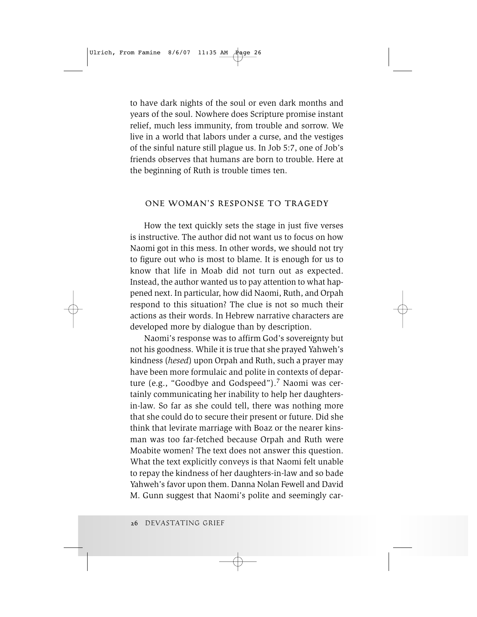to have dark nights of the soul or even dark months and years of the soul. Nowhere does Scripture promise instant relief, much less immunity, from trouble and sorrow. We live in a world that labors under a curse, and the vestiges of the sinful nature still plague us. In Job 5:7, one of Job's friends observes that humans are born to trouble. Here at the beginning of Ruth is trouble times ten.

#### **ONE WOMAN'S RESPONSE TO TRAGEDY**

How the text quickly sets the stage in just five verses is instructive. The author did not want us to focus on how Naomi got in this mess. In other words, we should not try to figure out who is most to blame. It is enough for us to know that life in Moab did not turn out as expected. Instead, the author wanted us to pay attention to what happened next. In particular, how did Naomi, Ruth, and Orpah respond to this situation? The clue is not so much their actions as their words. In Hebrew narrative characters are developed more by dialogue than by description.

Naomi's response was to affirm God's sovereignty but not his goodness. While it is true that she prayed Yahweh's kindness (*hesed*) upon Orpah and Ruth, such a prayer may have been more formulaic and polite in contexts of departure (e.g., "Goodbye and Godspeed").<sup>7</sup> Naomi was certainly communicating her inability to help her daughtersin-law. So far as she could tell, there was nothing more that she could do to secure their present or future. Did she think that levirate marriage with Boaz or the nearer kinsman was too far-fetched because Orpah and Ruth were Moabite women? The text does not answer this question. What the text explicitly conveys is that Naomi felt unable to repay the kindness of her daughters-in-law and so bade Yahweh's favor upon them. Danna Nolan Fewell and David M. Gunn suggest that Naomi's polite and seemingly car-

**26** DEVASTATING GRIEF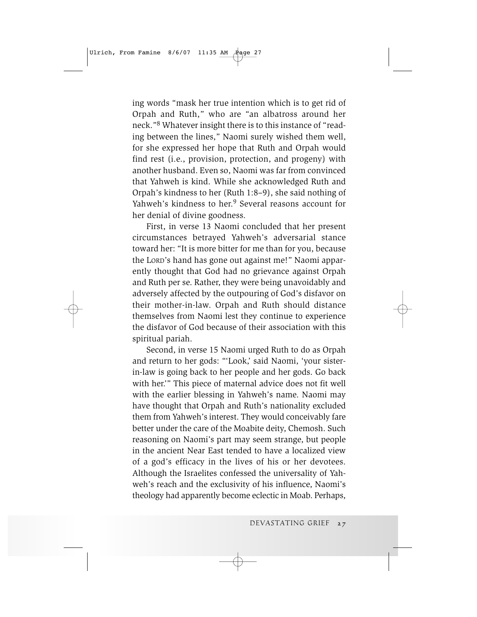ing words "mask her true intention which is to get rid of Orpah and Ruth," who are "an albatross around her neck."<sup>8</sup> Whatever insight there is to this instance of "reading between the lines," Naomi surely wished them well, for she expressed her hope that Ruth and Orpah would find rest (i.e., provision, protection, and progeny) with another husband. Even so, Naomi was far from convinced that Yahweh is kind. While she acknowledged Ruth and Orpah's kindness to her (Ruth 1:8–9), she said nothing of Yahweh's kindness to her.<sup>9</sup> Several reasons account for her denial of divine goodness.

First, in verse 13 Naomi concluded that her present circumstances betrayed Yahweh's adversarial stance toward her: "It is more bitter for me than for you, because the LORD's hand has gone out against me!" Naomi apparently thought that God had no grievance against Orpah and Ruth per se. Rather, they were being unavoidably and adversely affected by the outpouring of God's disfavor on their mother-in-law. Orpah and Ruth should distance themselves from Naomi lest they continue to experience the disfavor of God because of their association with this spiritual pariah.

Second, in verse 15 Naomi urged Ruth to do as Orpah and return to her gods: "'Look,' said Naomi, 'your sisterin-law is going back to her people and her gods. Go back with her.'" This piece of maternal advice does not fit well with the earlier blessing in Yahweh's name. Naomi may have thought that Orpah and Ruth's nationality excluded them from Yahweh's interest. They would conceivably fare better under the care of the Moabite deity, Chemosh. Such reasoning on Naomi's part may seem strange, but people in the ancient Near East tended to have a localized view of a god's efficacy in the lives of his or her devotees. Although the Israelites confessed the universality of Yahweh's reach and the exclusivity of his influence, Naomi's theology had apparently become eclectic in Moab. Perhaps,

DEVASTATING GRIEF **2 7**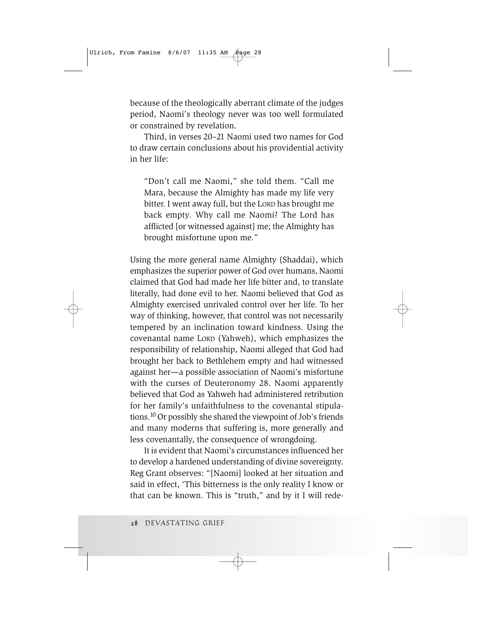because of the theologically aberrant climate of the judges period, Naomi's theology never was too well formulated or constrained by revelation.

Third, in verses 20–21 Naomi used two names for God to draw certain conclusions about his providential activity in her life:

"Don't call me Naomi," she told them. "Call me Mara, because the Almighty has made my life very bitter. I went away full, but the LORD has brought me back empty. Why call me Naomi? The Lord has afflicted [or witnessed against] me; the Almighty has brought misfortune upon me."

Using the more general name Almighty (Shaddai), which emphasizes the superior power of God over humans, Naomi claimed that God had made her life bitter and, to translate literally, had done evil to her. Naomi believed that God as Almighty exercised unrivaled control over her life. To her way of thinking, however, that control was not necessarily tempered by an inclination toward kindness. Using the covenantal name LORD (Yahweh), which emphasizes the responsibility of relationship, Naomi alleged that God had brought her back to Bethlehem empty and had witnessed against her—a possible association of Naomi's misfortune with the curses of Deuteronomy 28. Naomi apparently believed that God as Yahweh had administered retribution for her family's unfaithfulness to the covenantal stipulations.10 Or possibly she shared the viewpoint of Job's friends and many moderns that suffering is, more generally and less covenantally, the consequence of wrongdoing.

It is evident that Naomi's circumstances influenced her to develop a hardened understanding of divine sovereignty. Reg Grant observes: "[Naomi] looked at her situation and said in effect, 'This bitterness is the only reality I know or that can be known. This is "truth," and by it I will rede-

## **28** DEVASTATING GRIEF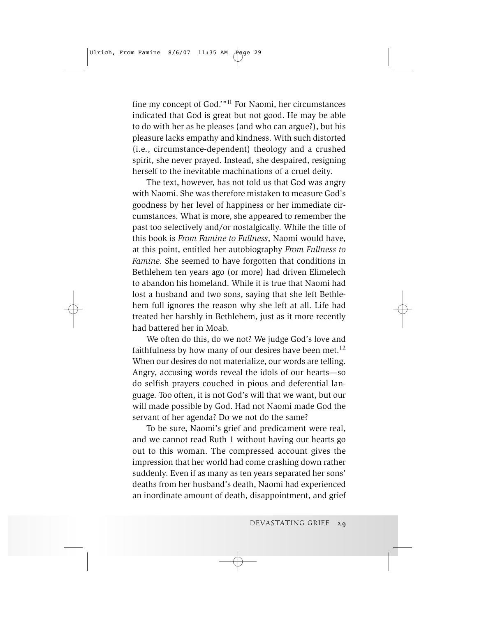fine my concept of God.'"11 For Naomi, her circumstances indicated that God is great but not good. He may be able to do with her as he pleases (and who can argue?), but his pleasure lacks empathy and kindness. With such distorted (i.e., circumstance-dependent) theology and a crushed spirit, she never prayed. Instead, she despaired, resigning herself to the inevitable machinations of a cruel deity.

The text, however, has not told us that God was angry with Naomi. She was therefore mistaken to measure God's goodness by her level of happiness or her immediate circumstances. What is more, she appeared to remember the past too selectively and/or nostalgically. While the title of this book is *From Famine to Fullness*, Naomi would have, at this point, entitled her autobiography *From Fullness to Famine*. She seemed to have forgotten that conditions in Bethlehem ten years ago (or more) had driven Elimelech to abandon his homeland. While it is true that Naomi had lost a husband and two sons, saying that she left Bethlehem full ignores the reason why she left at all. Life had treated her harshly in Bethlehem, just as it more recently had battered her in Moab.

We often do this, do we not? We judge God's love and faithfulness by how many of our desires have been met.<sup>12</sup> When our desires do not materialize, our words are telling. Angry, accusing words reveal the idols of our hearts—so do selfish prayers couched in pious and deferential language. Too often, it is not God's will that we want, but our will made possible by God. Had not Naomi made God the servant of her agenda? Do we not do the same?

To be sure, Naomi's grief and predicament were real, and we cannot read Ruth 1 without having our hearts go out to this woman. The compressed account gives the impression that her world had come crashing down rather suddenly. Even if as many as ten years separated her sons' deaths from her husband's death, Naomi had experienced an inordinate amount of death, disappointment, and grief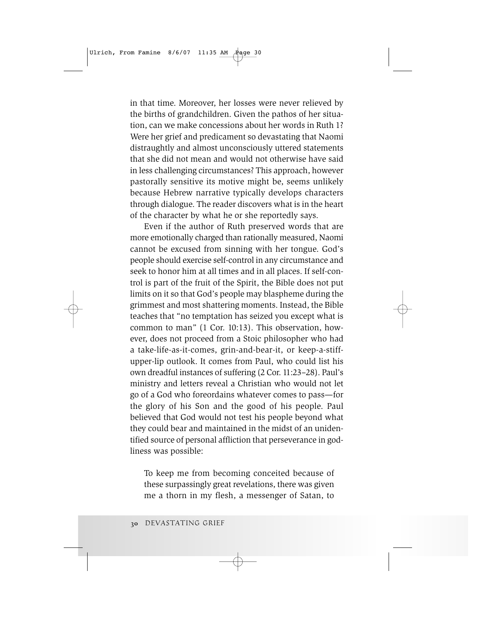in that time. Moreover, her losses were never relieved by the births of grandchildren. Given the pathos of her situation, can we make concessions about her words in Ruth 1? Were her grief and predicament so devastating that Naomi distraughtly and almost unconsciously uttered statements that she did not mean and would not otherwise have said in less challenging circumstances? This approach, however pastorally sensitive its motive might be, seems unlikely because Hebrew narrative typically develops characters through dialogue. The reader discovers what is in the heart of the character by what he or she reportedly says.

Even if the author of Ruth preserved words that are more emotionally charged than rationally measured, Naomi cannot be excused from sinning with her tongue. God's people should exercise self-control in any circumstance and seek to honor him at all times and in all places. If self-control is part of the fruit of the Spirit, the Bible does not put limits on it so that God's people may blaspheme during the grimmest and most shattering moments. Instead, the Bible teaches that "no temptation has seized you except what is common to man" (1 Cor. 10:13). This observation, however, does not proceed from a Stoic philosopher who had a take-life-as-it-comes, grin-and-bear-it, or keep-a-stiffupper-lip outlook. It comes from Paul, who could list his own dreadful instances of suffering (2 Cor. 11:23–28). Paul's ministry and letters reveal a Christian who would not let go of a God who foreordains whatever comes to pass—for the glory of his Son and the good of his people. Paul believed that God would not test his people beyond what they could bear and maintained in the midst of an unidentified source of personal affliction that perseverance in godliness was possible:

To keep me from becoming conceited because of these surpassingly great revelations, there was given me a thorn in my flesh, a messenger of Satan, to

## **30** DEVASTATING GRIEF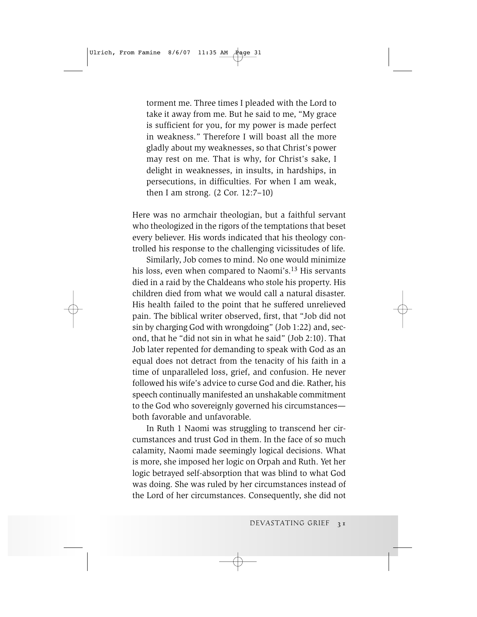torment me. Three times I pleaded with the Lord to take it away from me. But he said to me, "My grace is sufficient for you, for my power is made perfect in weakness." Therefore I will boast all the more gladly about my weaknesses, so that Christ's power may rest on me. That is why, for Christ's sake, I delight in weaknesses, in insults, in hardships, in persecutions, in difficulties. For when I am weak, then I am strong. (2 Cor. 12:7–10)

Here was no armchair theologian, but a faithful servant who theologized in the rigors of the temptations that beset every believer. His words indicated that his theology controlled his response to the challenging vicissitudes of life.

Similarly, Job comes to mind. No one would minimize his loss, even when compared to Naomi's.<sup>13</sup> His servants died in a raid by the Chaldeans who stole his property. His children died from what we would call a natural disaster. His health failed to the point that he suffered unrelieved pain. The biblical writer observed, first, that "Job did not sin by charging God with wrongdoing" (Job 1:22) and, second, that he "did not sin in what he said" (Job 2:10). That Job later repented for demanding to speak with God as an equal does not detract from the tenacity of his faith in a time of unparalleled loss, grief, and confusion. He never followed his wife's advice to curse God and die. Rather, his speech continually manifested an unshakable commitment to the God who sovereignly governed his circumstances both favorable and unfavorable.

In Ruth 1 Naomi was struggling to transcend her circumstances and trust God in them. In the face of so much calamity, Naomi made seemingly logical decisions. What is more, she imposed her logic on Orpah and Ruth. Yet her logic betrayed self-absorption that was blind to what God was doing. She was ruled by her circumstances instead of the Lord of her circumstances. Consequently, she did not

DEVASTATING GRIEF **3 1**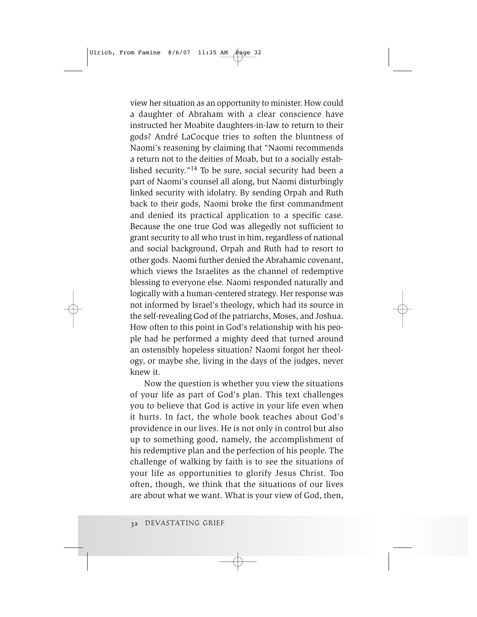view her situation as an opportunity to minister. How could a daughter of Abraham with a clear conscience have instructed her Moabite daughters-in-law to return to their gods? André LaCocque tries to soften the bluntness of Naomi's reasoning by claiming that "Naomi recommends a return not to the deities of Moab, but to a socially established security."14 To be sure, social security had been a part of Naomi's counsel all along, but Naomi disturbingly linked security with idolatry. By sending Orpah and Ruth back to their gods, Naomi broke the first commandment and denied its practical application to a specific case. Because the one true God was allegedly not sufficient to grant security to all who trust in him, regardless of national and social background, Orpah and Ruth had to resort to other gods. Naomi further denied the Abrahamic covenant, which views the Israelites as the channel of redemptive blessing to everyone else. Naomi responded naturally and logically with a human-centered strategy. Her response was not informed by Israel's theology, which had its source in the self-revealing God of the patriarchs, Moses, and Joshua. How often to this point in God's relationship with his people had he performed a mighty deed that turned around an ostensibly hopeless situation? Naomi forgot her theology, or maybe she, living in the days of the judges, never knew it.

Now the question is whether you view the situations of your life as part of God's plan. This text challenges you to believe that God is active in your life even when it hurts. In fact, the whole book teaches about God's providence in our lives. He is not only in control but also up to something good, namely, the accomplishment of his redemptive plan and the perfection of his people. The challenge of walking by faith is to see the situations of your life as opportunities to glorify Jesus Christ. Too often, though, we think that the situations of our lives are about what we want. What is your view of God, then,

**32** DEVASTATING GRIEF